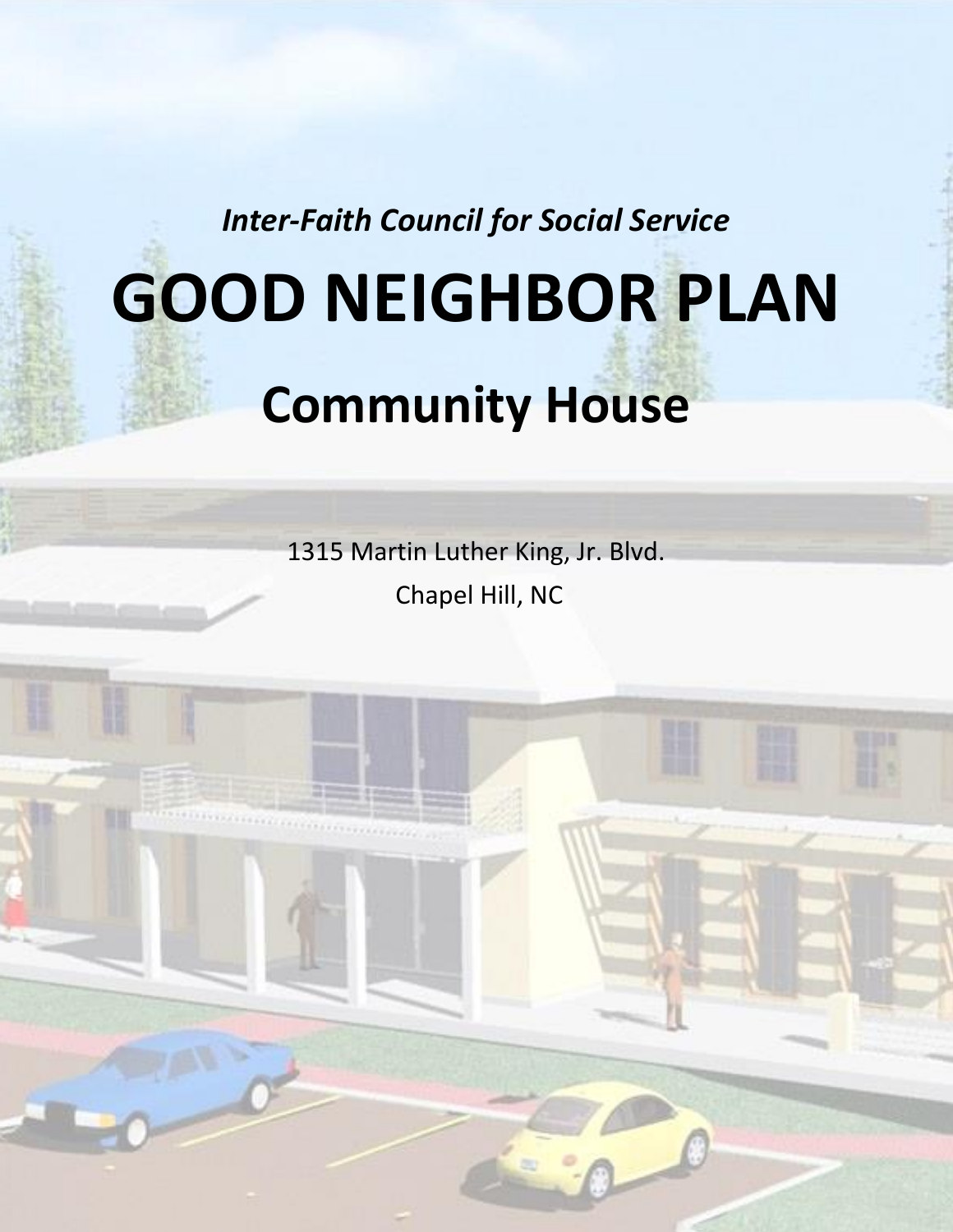*Inter-Faith Council for Social Service*

# **GOOD NEIGHBOR PLAN**

# **Community House**

1315 Martin Luther King, Jr. Blvd. Chapel Hill, NC

Page 1 of 25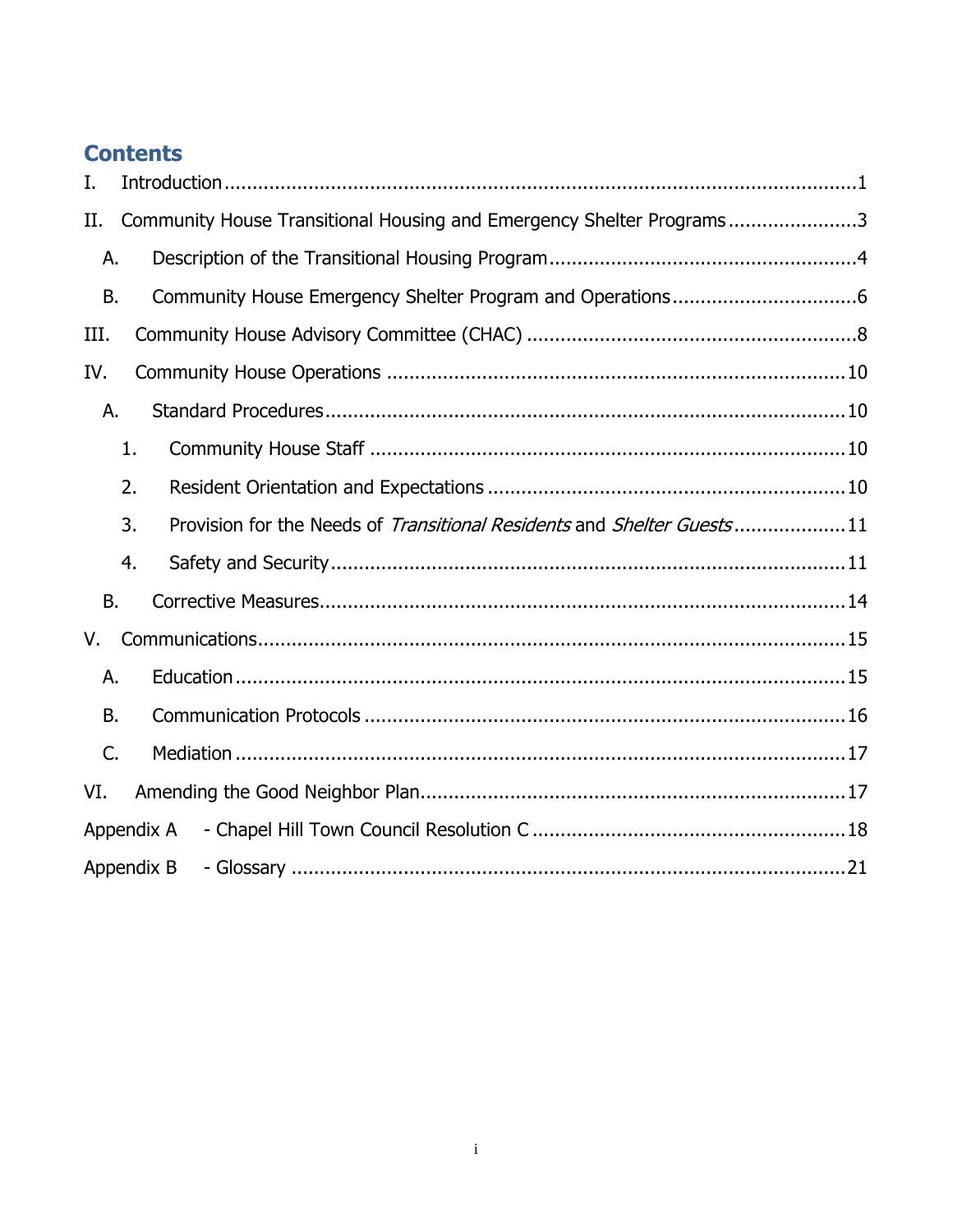# **Contents**

| Ι.         |                                                                              |  |  |  |
|------------|------------------------------------------------------------------------------|--|--|--|
| П.         | Community House Transitional Housing and Emergency Shelter Programs3         |  |  |  |
| А.         |                                                                              |  |  |  |
| <b>B.</b>  |                                                                              |  |  |  |
| III.       |                                                                              |  |  |  |
| IV.        |                                                                              |  |  |  |
| А.         |                                                                              |  |  |  |
|            | 1.                                                                           |  |  |  |
|            | 2.                                                                           |  |  |  |
|            | 3.<br>Provision for the Needs of Transitional Residents and Shelter Guests11 |  |  |  |
|            | 4.                                                                           |  |  |  |
| <b>B.</b>  |                                                                              |  |  |  |
| V.         |                                                                              |  |  |  |
| А.         |                                                                              |  |  |  |
| В.         |                                                                              |  |  |  |
| C.         |                                                                              |  |  |  |
| VI.        |                                                                              |  |  |  |
| Appendix A |                                                                              |  |  |  |
|            | Appendix B                                                                   |  |  |  |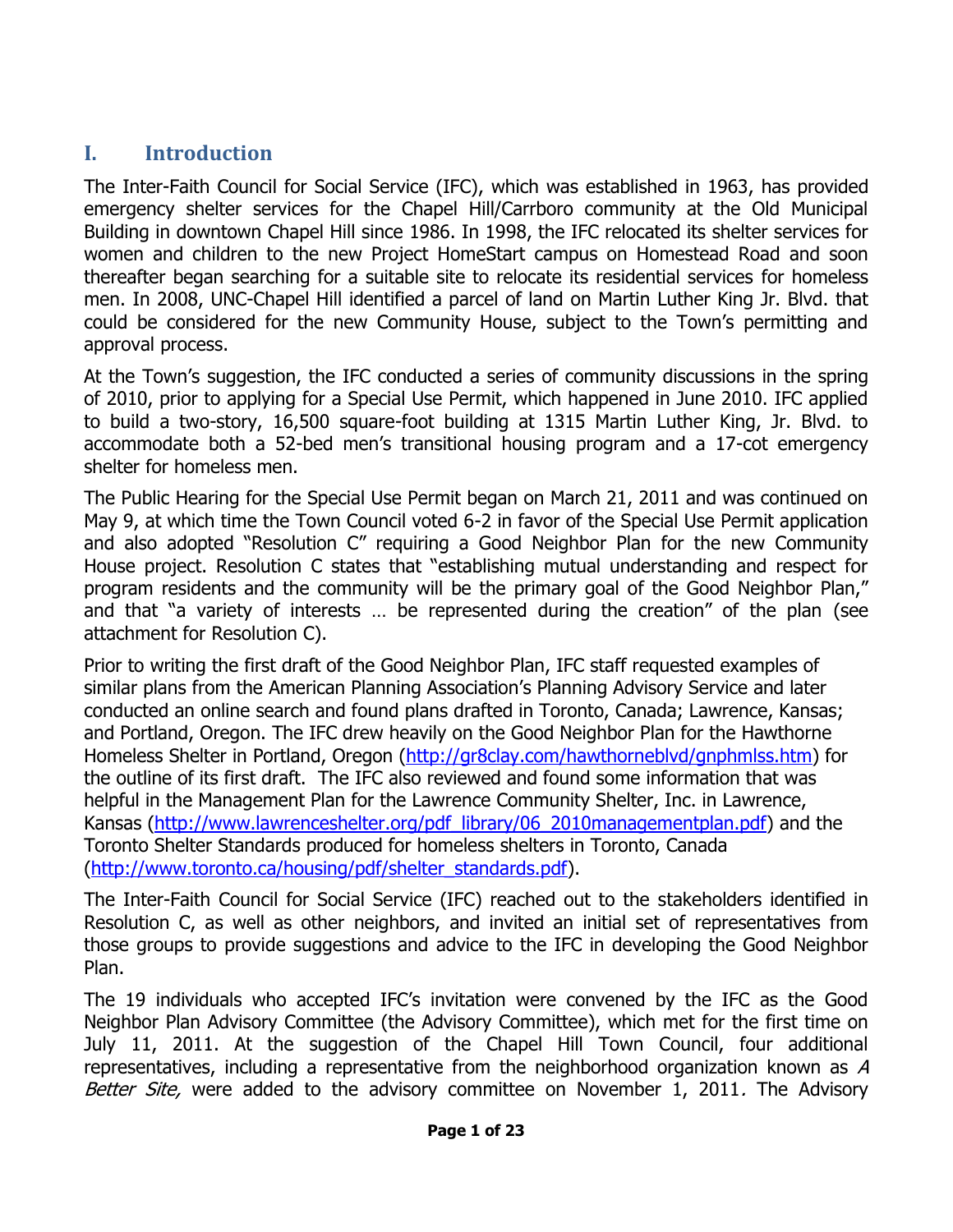#### <span id="page-2-0"></span>**I. Introduction**

The Inter-Faith Council for Social Service (IFC), which was established in 1963, has provided emergency shelter services for the Chapel Hill/Carrboro community at the Old Municipal Building in downtown Chapel Hill since 1986. In 1998, the IFC relocated its shelter services for women and children to the new Project HomeStart campus on Homestead Road and soon thereafter began searching for a suitable site to relocate its residential services for homeless men. In 2008, UNC-Chapel Hill identified a parcel of land on Martin Luther King Jr. Blvd. that could be considered for the new Community House, subject to the Town's permitting and approval process.

At the Town's suggestion, the IFC conducted a series of community discussions in the spring of 2010, prior to applying for a Special Use Permit, which happened in June 2010. IFC applied to build a two-story, 16,500 square-foot building at 1315 Martin Luther King, Jr. Blvd. to accommodate both a 52-bed men's transitional housing program and a 17-cot emergency shelter for homeless men.

The Public Hearing for the Special Use Permit began on March 21, 2011 and was continued on May 9, at which time the Town Council voted 6-2 in favor of the Special Use Permit application and also adopted "Resolution C" requiring a Good Neighbor Plan for the new Community House project. Resolution C states that "establishing mutual understanding and respect for program residents and the community will be the primary goal of the Good Neighbor Plan," and that "a variety of interests … be represented during the creation" of the plan (see attachment for Resolution C).

Prior to writing the first draft of the Good Neighbor Plan, IFC staff requested examples of similar plans from the American Planning Association's Planning Advisory Service and later conducted an online search and found plans drafted in Toronto, Canada; Lawrence, Kansas; and Portland, Oregon. The IFC drew heavily on the Good Neighbor Plan for the Hawthorne Homeless Shelter in Portland, Oregon (http://gr8clay.com/hawthorneblyd/gnphmlss.htm) for the outline of its first draft. The IFC also reviewed and found some information that was helpful in the Management Plan for the Lawrence Community Shelter, Inc. in Lawrence, Kansas [\(http://www.lawrenceshelter.org/pdf\\_library/06\\_2010managementplan.pdf\)](http://www.lawrenceshelter.org/pdf_library/06_2010managementplan.pdf) and the Toronto Shelter Standards produced for homeless shelters in Toronto, Canada [\(http://www.toronto.ca/housing/pdf/shelter\\_standards.pdf\)](http://www.toronto.ca/housing/pdf/shelter_standards.pdf).

The Inter-Faith Council for Social Service (IFC) reached out to the stakeholders identified in Resolution C, as well as other neighbors, and invited an initial set of representatives from those groups to provide suggestions and advice to the IFC in developing the Good Neighbor Plan.

The 19 individuals who accepted IFC's invitation were convened by the IFC as the Good Neighbor Plan Advisory Committee (the Advisory Committee), which met for the first time on July 11, 2011. At the suggestion of the Chapel Hill Town Council, four additional representatives, including a representative from the neighborhood organization known as A Better Site, were added to the advisory committee on November 1, 2011. The Advisory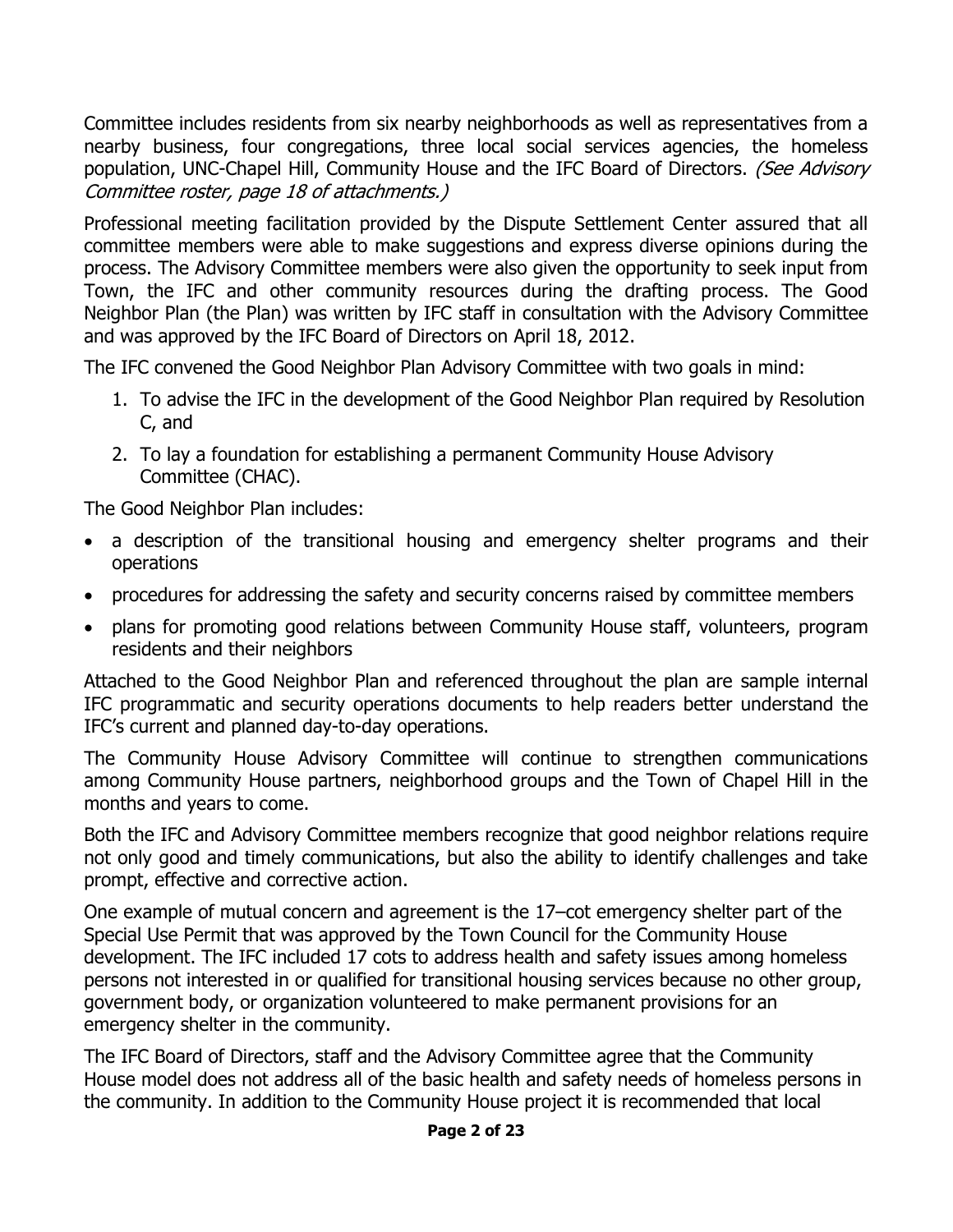Committee includes residents from six nearby neighborhoods as well as representatives from a nearby business, four congregations, three local social services agencies, the homeless population, UNC-Chapel Hill, Community House and the IFC Board of Directors. (See Advisory Committee roster, page 18 of attachments.)

Professional meeting facilitation provided by the Dispute Settlement Center assured that all committee members were able to make suggestions and express diverse opinions during the process. The Advisory Committee members were also given the opportunity to seek input from Town, the IFC and other community resources during the drafting process. The Good Neighbor Plan (the Plan) was written by IFC staff in consultation with the Advisory Committee and was approved by the IFC Board of Directors on April 18, 2012.

The IFC convened the Good Neighbor Plan Advisory Committee with two goals in mind:

- 1. To advise the IFC in the development of the Good Neighbor Plan required by Resolution C, and
- 2. To lay a foundation for establishing a permanent Community House Advisory Committee (CHAC).

The Good Neighbor Plan includes:

- a description of the transitional housing and emergency shelter programs and their operations
- procedures for addressing the safety and security concerns raised by committee members
- plans for promoting good relations between Community House staff, volunteers, program residents and their neighbors

Attached to the Good Neighbor Plan and referenced throughout the plan are sample internal IFC programmatic and security operations documents to help readers better understand the IFC's current and planned day-to-day operations.

The Community House Advisory Committee will continue to strengthen communications among Community House partners, neighborhood groups and the Town of Chapel Hill in the months and years to come.

Both the IFC and Advisory Committee members recognize that good neighbor relations require not only good and timely communications, but also the ability to identify challenges and take prompt, effective and corrective action.

One example of mutual concern and agreement is the 17–cot emergency shelter part of the Special Use Permit that was approved by the Town Council for the Community House development. The IFC included 17 cots to address health and safety issues among homeless persons not interested in or qualified for transitional housing services because no other group, government body, or organization volunteered to make permanent provisions for an emergency shelter in the community.

The IFC Board of Directors, staff and the Advisory Committee agree that the Community House model does not address all of the basic health and safety needs of homeless persons in the community. In addition to the Community House project it is recommended that local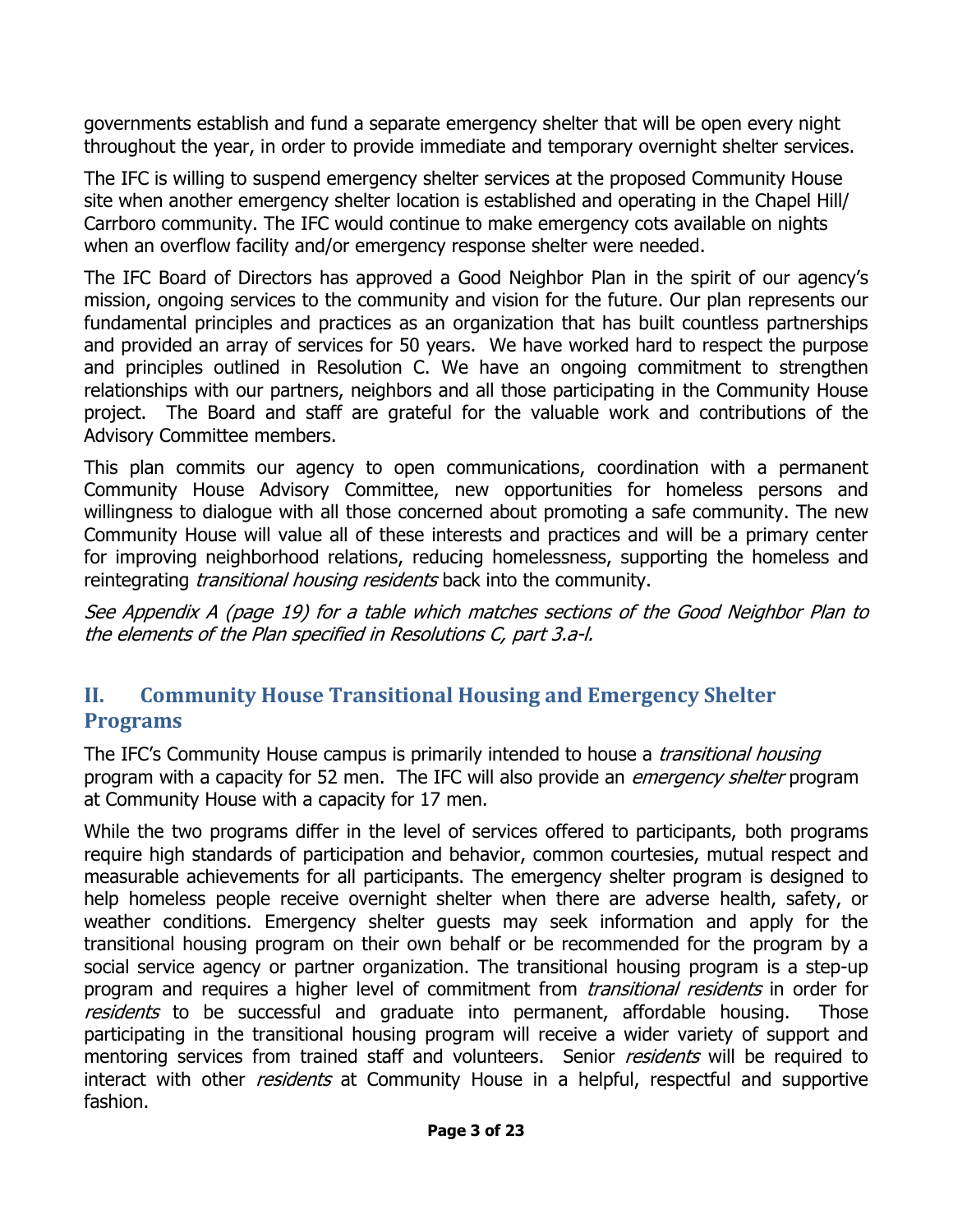governments establish and fund a separate emergency shelter that will be open every night throughout the year, in order to provide immediate and temporary overnight shelter services.

The IFC is willing to suspend emergency shelter services at the proposed Community House site when another emergency shelter location is established and operating in the Chapel Hill/ Carrboro community. The IFC would continue to make emergency cots available on nights when an overflow facility and/or emergency response shelter were needed.

The IFC Board of Directors has approved a Good Neighbor Plan in the spirit of our agency's mission, ongoing services to the community and vision for the future. Our plan represents our fundamental principles and practices as an organization that has built countless partnerships and provided an array of services for 50 years. We have worked hard to respect the purpose and principles outlined in Resolution C. We have an ongoing commitment to strengthen relationships with our partners, neighbors and all those participating in the Community House project. The Board and staff are grateful for the valuable work and contributions of the Advisory Committee members.

This plan commits our agency to open communications, coordination with a permanent Community House Advisory Committee, new opportunities for homeless persons and willingness to dialogue with all those concerned about promoting a safe community. The new Community House will value all of these interests and practices and will be a primary center for improving neighborhood relations, reducing homelessness, supporting the homeless and reintegrating *transitional housing residents* back into the community.

See Appendix A (page 19) for a table which matches sections of the Good Neighbor Plan to the elements of the Plan specified in Resolutions C, part 3.a-l.

#### <span id="page-4-0"></span>**II. Community House Transitional Housing and Emergency Shelter Programs**

The IFC's Community House campus is primarily intended to house a *transitional housing* program with a capacity for 52 men. The IFC will also provide an *emergency shelter* program at Community House with a capacity for 17 men.

While the two programs differ in the level of services offered to participants, both programs require high standards of participation and behavior, common courtesies, mutual respect and measurable achievements for all participants. The emergency shelter program is designed to help homeless people receive overnight shelter when there are adverse health, safety, or weather conditions. Emergency shelter guests may seek information and apply for the transitional housing program on their own behalf or be recommended for the program by a social service agency or partner organization. The transitional housing program is a step-up program and requires a higher level of commitment from *transitional residents* in order for residents to be successful and graduate into permanent, affordable housing. Those participating in the transitional housing program will receive a wider variety of support and mentoring services from trained staff and volunteers. Senior *residents* will be required to interact with other *residents* at Community House in a helpful, respectful and supportive fashion.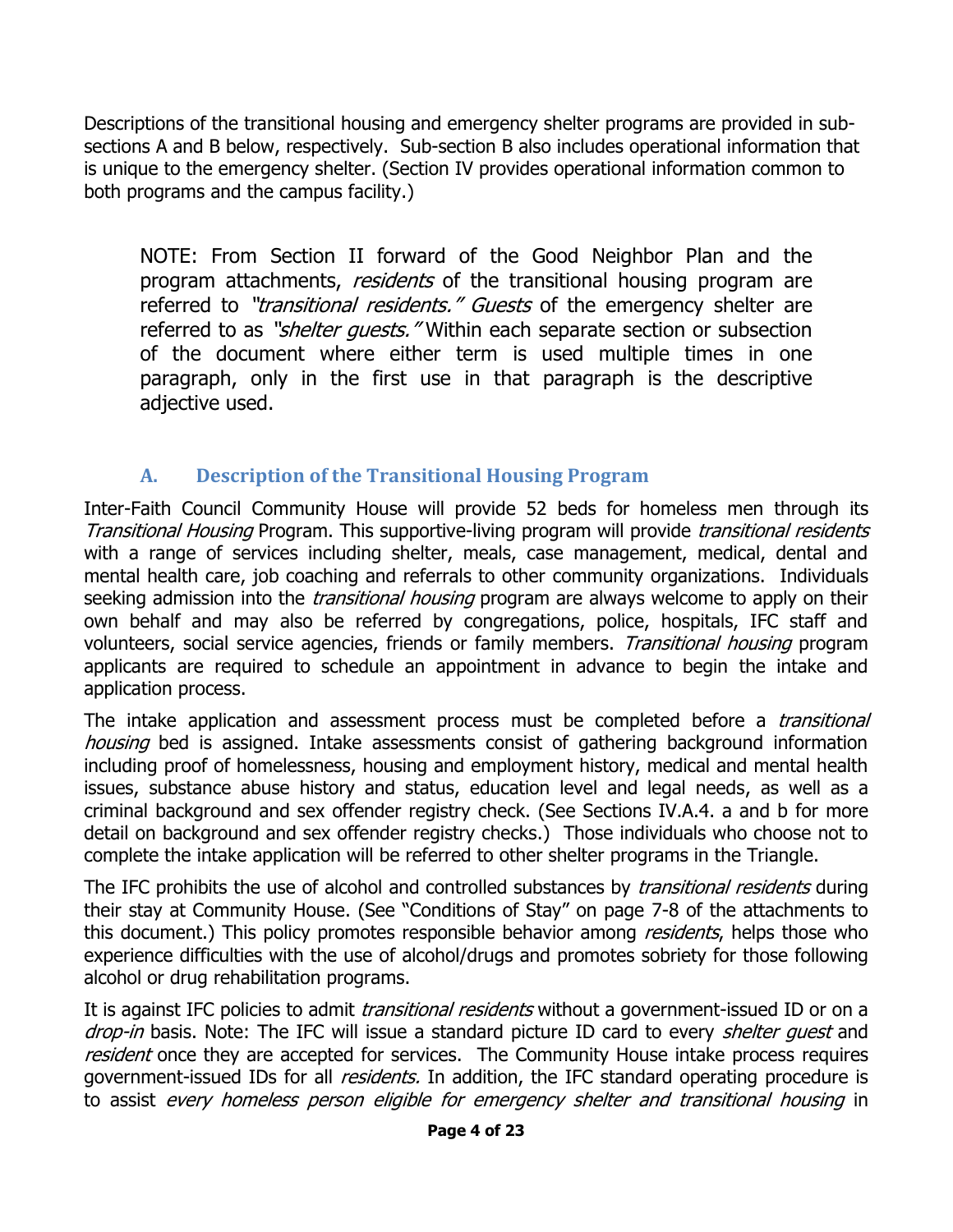Descriptions of the transitional housing and emergency shelter programs are provided in subsections A and B below, respectively. Sub-section B also includes operational information that is unique to the emergency shelter. (Section IV provides operational information common to both programs and the campus facility.)

NOTE: From Section II forward of the Good Neighbor Plan and the program attachments, *residents* of the transitional housing program are referred to "*transitional residents." Guests* of the emergency shelter are referred to as "*shelter quests.*" Within each separate section or subsection of the document where either term is used multiple times in one paragraph, only in the first use in that paragraph is the descriptive adjective used.

#### **A. Description of the Transitional Housing Program**

<span id="page-5-0"></span>Inter-Faith Council Community House will provide 52 beds for homeless men through its Transitional Housing Program. This supportive-living program will provide transitional residents with a range of services including shelter, meals, case management, medical, dental and mental health care, job coaching and referrals to other community organizations. Individuals seeking admission into the *transitional housing* program are always welcome to apply on their own behalf and may also be referred by congregations, police, hospitals, IFC staff and volunteers, social service agencies, friends or family members. Transitional housing program applicants are required to schedule an appointment in advance to begin the intake and application process.

The intake application and assessment process must be completed before a *transitional* housing bed is assigned. Intake assessments consist of gathering background information including proof of homelessness, housing and employment history, medical and mental health issues, substance abuse history and status, education level and legal needs, as well as a criminal background and sex offender registry check. (See Sections IV.A.4. a and b for more detail on background and sex offender registry checks.) Those individuals who choose not to complete the intake application will be referred to other shelter programs in the Triangle.

The IFC prohibits the use of alcohol and controlled substances by *transitional residents* during their stay at Community House. (See "Conditions of Stay" on page 7-8 of the attachments to this document.) This policy promotes responsible behavior among *residents*, helps those who experience difficulties with the use of alcohol/drugs and promotes sobriety for those following alcohol or drug rehabilitation programs.

It is against IFC policies to admit *transitional residents* without a government-issued ID or on a drop-in basis. Note: The IFC will issue a standard picture ID card to every *shelter quest* and resident once they are accepted for services. The Community House intake process requires government-issued IDs for all *residents.* In addition, the IFC standard operating procedure is to assist every homeless person eligible for emergency shelter and transitional housing in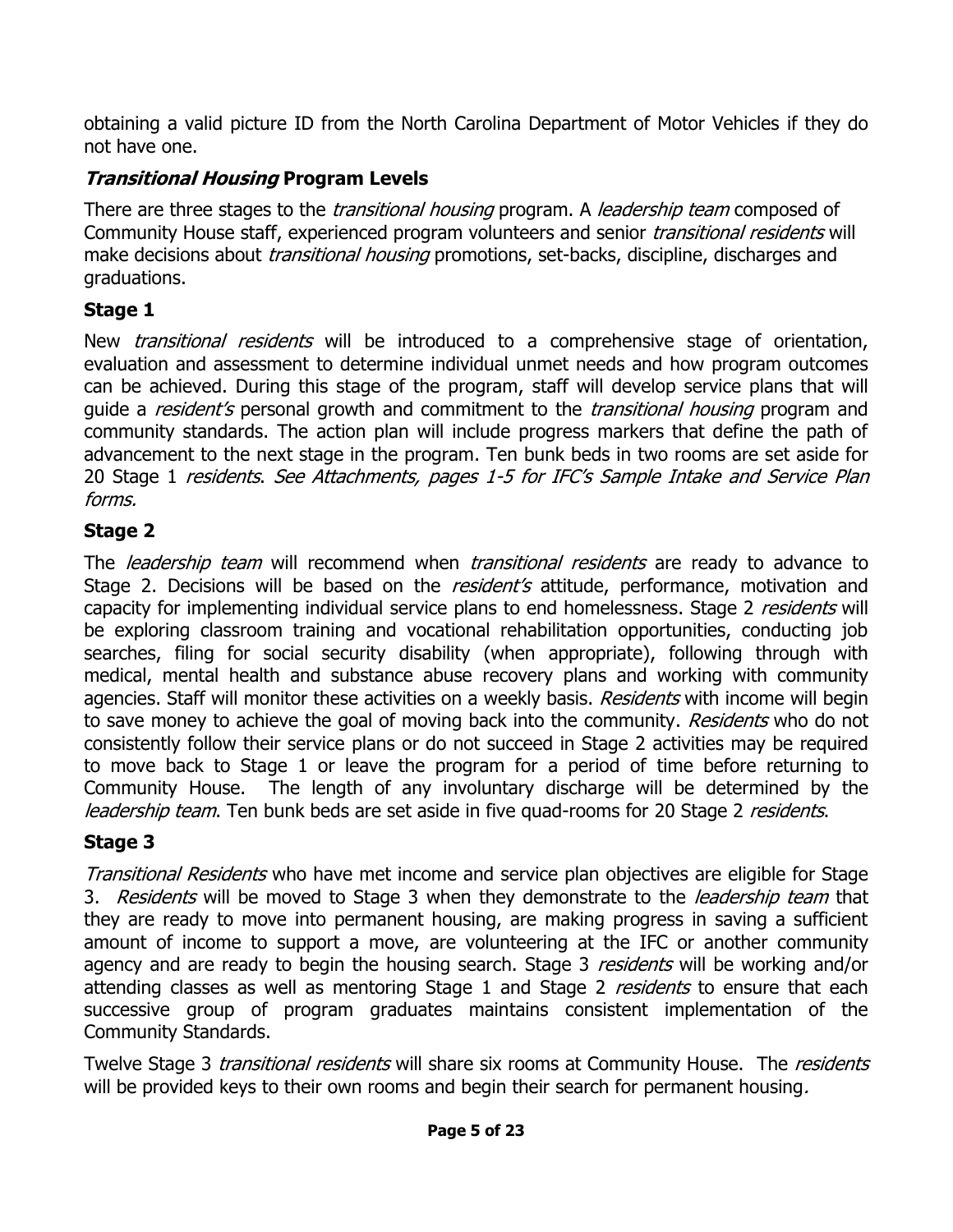obtaining a valid picture ID from the North Carolina Department of Motor Vehicles if they do not have one.

#### **Transitional Housing Program Levels**

There are three stages to the *transitional housing* program. A *leadership team* composed of Community House staff, experienced program volunteers and senior *transitional residents* will make decisions about *transitional housing* promotions, set-backs, discipline, discharges and graduations.

#### **Stage 1**

New *transitional residents* will be introduced to a comprehensive stage of orientation, evaluation and assessment to determine individual unmet needs and how program outcomes can be achieved. During this stage of the program, staff will develop service plans that will guide a *resident's* personal growth and commitment to the *transitional housing* program and community standards. The action plan will include progress markers that define the path of advancement to the next stage in the program. Ten bunk beds in two rooms are set aside for 20 Stage 1 residents. See Attachments, pages 1-5 for IFC's Sample Intake and Service Plan forms.

#### **Stage 2**

The *leadership team* will recommend when *transitional residents* are ready to advance to Stage 2. Decisions will be based on the *resident's* attitude, performance, motivation and capacity for implementing individual service plans to end homelessness. Stage 2 residents will be exploring classroom training and vocational rehabilitation opportunities, conducting job searches, filing for social security disability (when appropriate), following through with medical, mental health and substance abuse recovery plans and working with community agencies. Staff will monitor these activities on a weekly basis. Residents with income will begin to save money to achieve the goal of moving back into the community. Residents who do not consistently follow their service plans or do not succeed in Stage 2 activities may be required to move back to Stage 1 or leave the program for a period of time before returning to Community House. The length of any involuntary discharge will be determined by the leadership team. Ten bunk beds are set aside in five quad-rooms for 20 Stage 2 residents.

#### **Stage 3**

Transitional Residents who have met income and service plan objectives are eligible for Stage 3. Residents will be moved to Stage 3 when they demonstrate to the *leadership team* that they are ready to move into permanent housing, are making progress in saving a sufficient amount of income to support a move, are volunteering at the IFC or another community agency and are ready to begin the housing search. Stage 3 residents will be working and/or attending classes as well as mentoring Stage 1 and Stage 2 residents to ensure that each successive group of program graduates maintains consistent implementation of the Community Standards.

Twelve Stage 3 *transitional residents* will share six rooms at Community House. The *residents* will be provided keys to their own rooms and begin their search for permanent housing.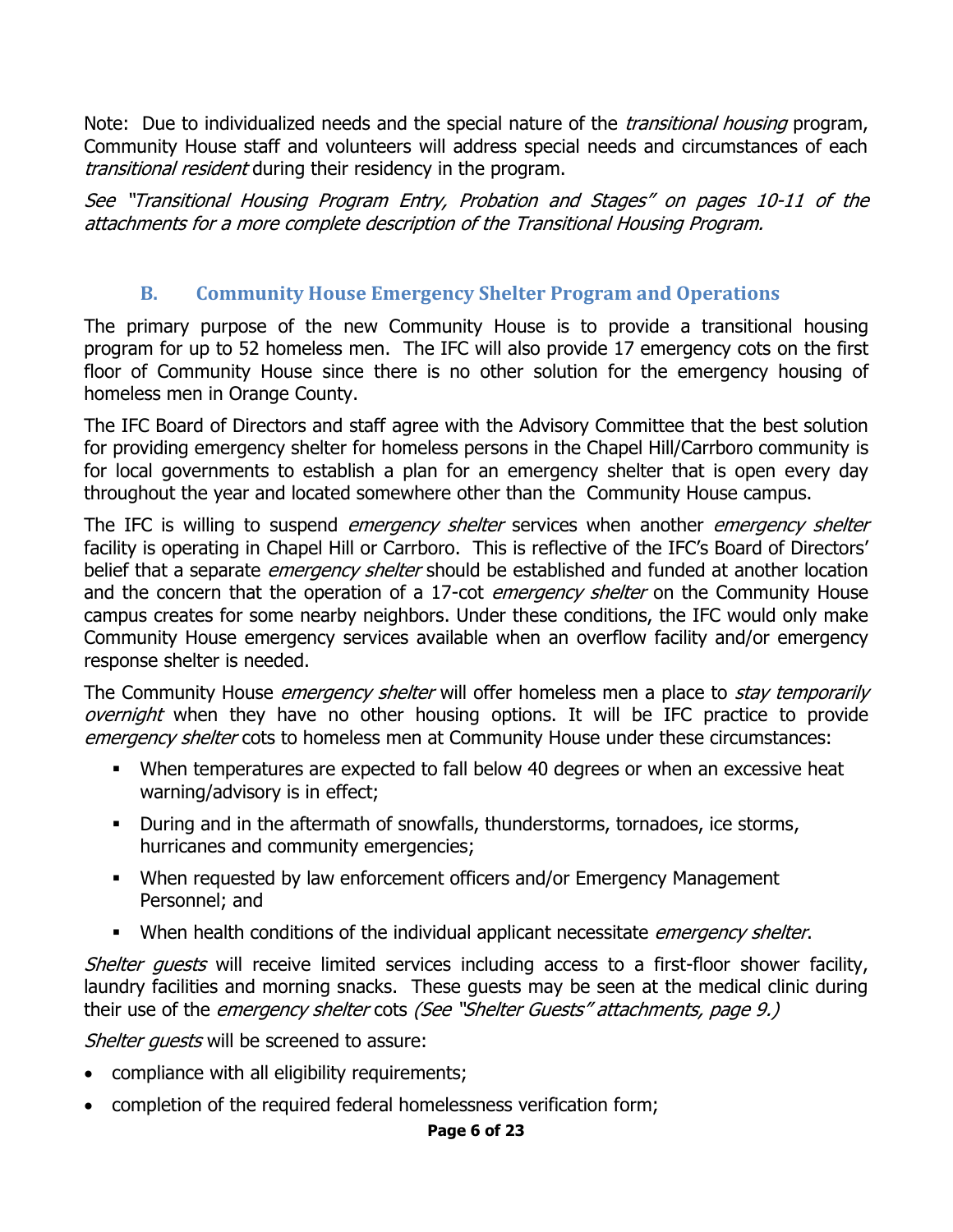Note: Due to individualized needs and the special nature of the *transitional housing* program, Community House staff and volunteers will address special needs and circumstances of each transitional resident during their residency in the program.

See "Transitional Housing Program Entry, Probation and Stages" on pages 10-11 of the attachments for a more complete description of the Transitional Housing Program.

#### **B. Community House Emergency Shelter Program and Operations**

<span id="page-7-0"></span>The primary purpose of the new Community House is to provide a transitional housing program for up to 52 homeless men. The IFC will also provide 17 emergency cots on the first floor of Community House since there is no other solution for the emergency housing of homeless men in Orange County.

The IFC Board of Directors and staff agree with the Advisory Committee that the best solution for providing emergency shelter for homeless persons in the Chapel Hill/Carrboro community is for local governments to establish a plan for an emergency shelter that is open every day throughout the year and located somewhere other than the Community House campus.

The IFC is willing to suspend *emergency shelter* services when another *emergency shelter* facility is operating in Chapel Hill or Carrboro. This is reflective of the IFC's Board of Directors' belief that a separate *emergency shelter* should be established and funded at another location and the concern that the operation of a 17-cot *emergency shelter* on the Community House campus creates for some nearby neighbors. Under these conditions, the IFC would only make Community House emergency services available when an overflow facility and/or emergency response shelter is needed.

The Community House *emergency shelter* will offer homeless men a place to *stay temporarily* overnight when they have no other housing options. It will be IFC practice to provide emergency shelter cots to homeless men at Community House under these circumstances:

- When temperatures are expected to fall below 40 degrees or when an excessive heat warning/advisory is in effect;
- During and in the aftermath of snowfalls, thunderstorms, tornadoes, ice storms, hurricanes and community emergencies;
- When requested by law enforcement officers and/or Emergency Management Personnel; and
- When health conditions of the individual applicant necessitate *emergency shelter*.

Shelter quests will receive limited services including access to a first-floor shower facility, laundry facilities and morning snacks. These guests may be seen at the medical clinic during their use of the *emergency shelter* cots (See "Shelter Guests" attachments, page 9.)

Shelter quests will be screened to assure:

- compliance with all eligibility requirements;
- completion of the required federal homelessness verification form;

#### **Page 6 of 23**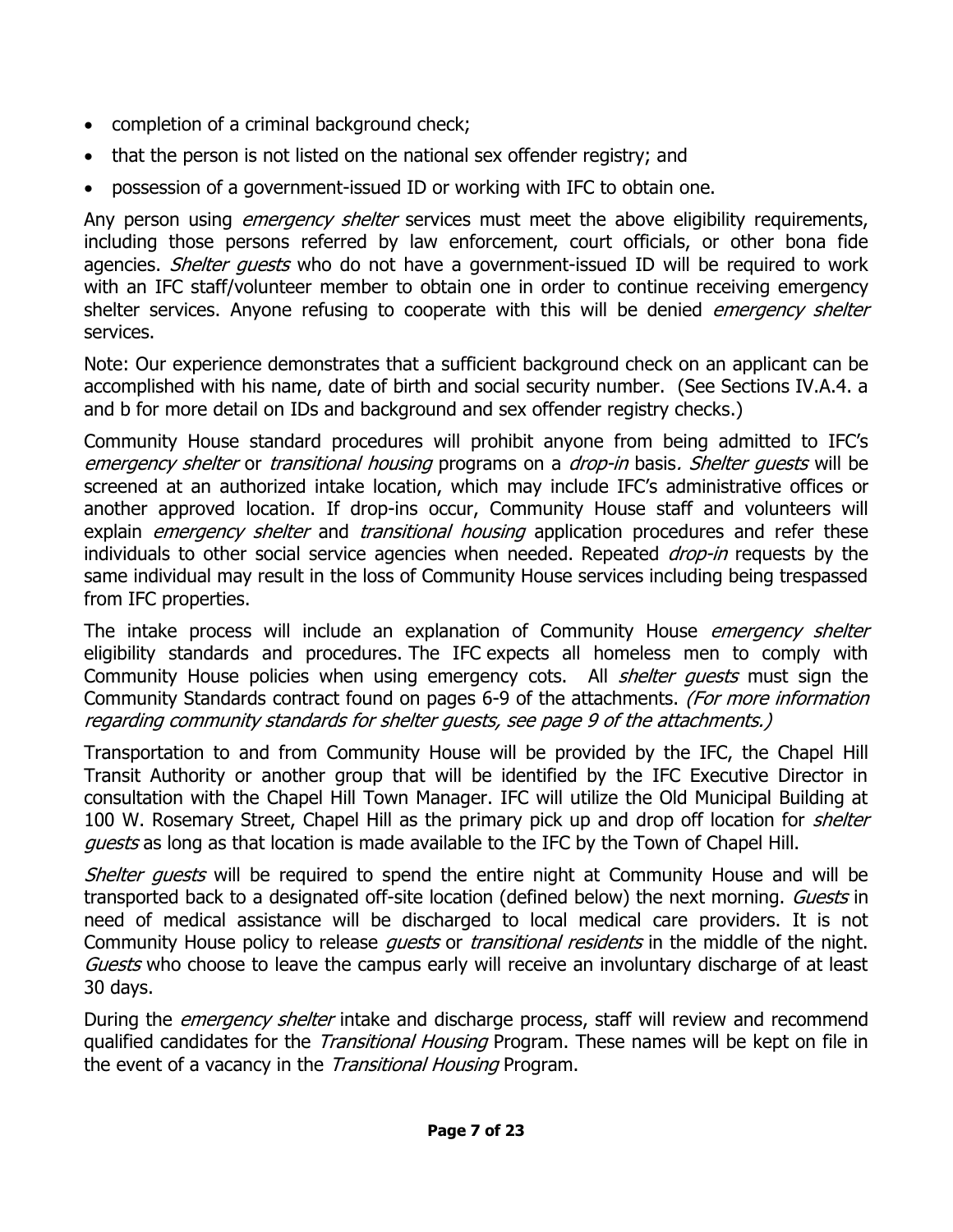- completion of a criminal background check;
- that the person is not listed on the national sex offender registry; and
- possession of a government-issued ID or working with IFC to obtain one.

Any person using *emergency shelter* services must meet the above eligibility requirements, including those persons referred by law enforcement, court officials, or other bona fide agencies. *Shelter quests* who do not have a government-issued ID will be required to work with an IFC staff/volunteer member to obtain one in order to continue receiving emergency shelter services. Anyone refusing to cooperate with this will be denied *emergency shelter* services.

Note: Our experience demonstrates that a sufficient background check on an applicant can be accomplished with his name, date of birth and social security number. (See Sections IV.A.4. a and b for more detail on IDs and background and sex offender registry checks.)

Community House standard procedures will prohibit anyone from being admitted to IFC's emergency shelter or transitional housing programs on a drop-in basis. Shelter quests will be screened at an authorized intake location, which may include IFC's administrative offices or another approved location. If drop-ins occur, Community House staff and volunteers will explain *emergency shelter* and *transitional housing* application procedures and refer these individuals to other social service agencies when needed. Repeated *drop-in* requests by the same individual may result in the loss of Community House services including being trespassed from IFC properties.

The intake process will include an explanation of Community House *emergency shelter* eligibility standards and procedures. The IFC expects all homeless men to comply with Community House policies when using emergency cots. All *shelter quests* must sign the Community Standards contract found on pages 6-9 of the attachments. (For more information regarding community standards for shelter guests, see page 9 of the attachments.)

Transportation to and from Community House will be provided by the IFC, the Chapel Hill Transit Authority or another group that will be identified by the IFC Executive Director in consultation with the Chapel Hill Town Manager. IFC will utilize the Old Municipal Building at 100 W. Rosemary Street, Chapel Hill as the primary pick up and drop off location for *shelter* guests as long as that location is made available to the IFC by the Town of Chapel Hill.

Shelter guests will be required to spend the entire night at Community House and will be transported back to a designated off-site location (defined below) the next morning. Guests in need of medical assistance will be discharged to local medical care providers. It is not Community House policy to release *quests* or *transitional residents* in the middle of the night. Guests who choose to leave the campus early will receive an involuntary discharge of at least 30 days.

During the *emergency shelter* intake and discharge process, staff will review and recommend qualified candidates for the *Transitional Housing* Program. These names will be kept on file in the event of a vacancy in the Transitional Housing Program.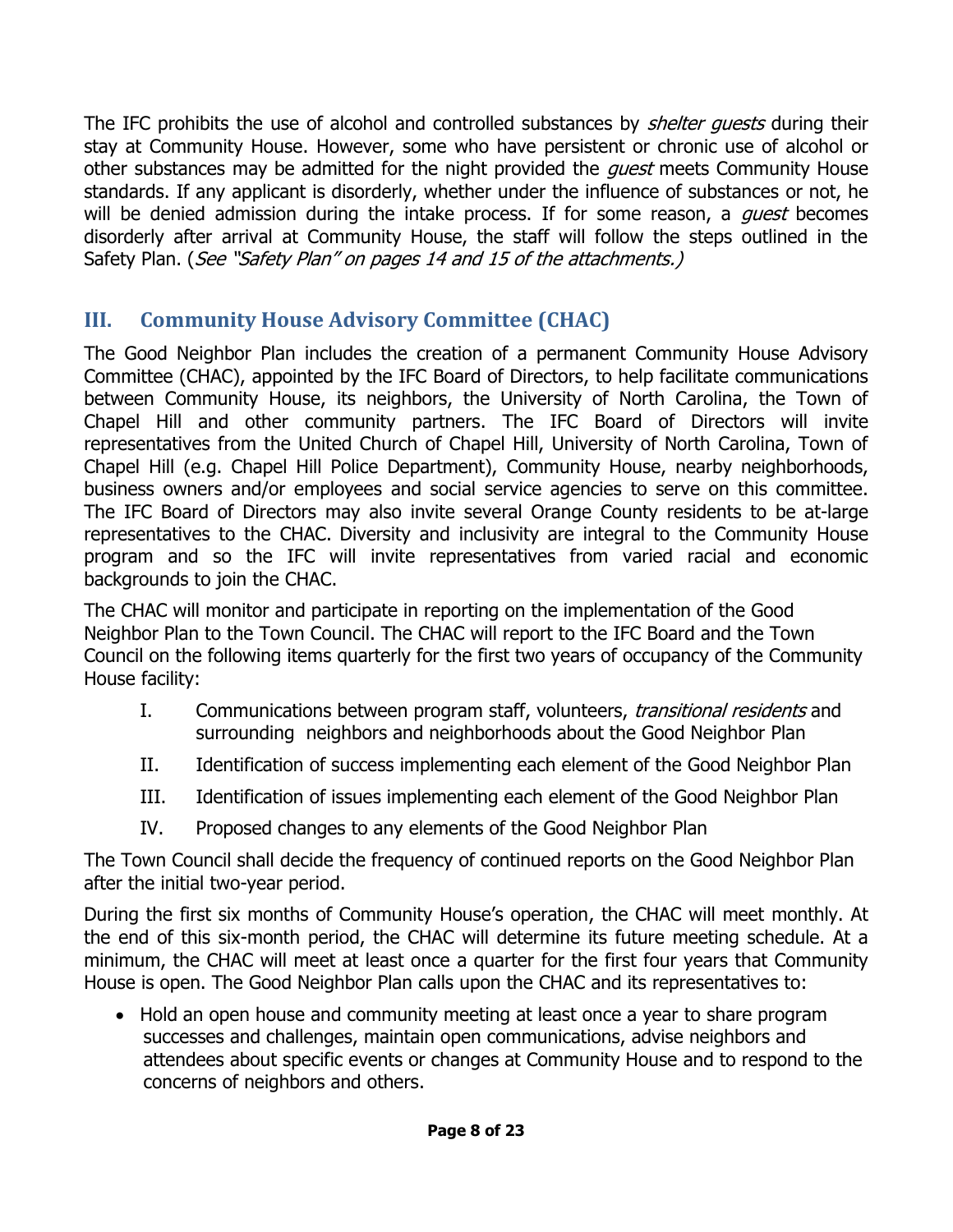The IFC prohibits the use of alcohol and controlled substances by *shelter quests* during their stay at Community House. However, some who have persistent or chronic use of alcohol or other substances may be admitted for the night provided the *guest* meets Community House standards. If any applicant is disorderly, whether under the influence of substances or not, he will be denied admission during the intake process. If for some reason, a *quest* becomes disorderly after arrival at Community House, the staff will follow the steps outlined in the Safety Plan. (See "Safety Plan" on pages 14 and 15 of the attachments.)

### <span id="page-9-0"></span>**III. Community House Advisory Committee (CHAC)**

The Good Neighbor Plan includes the creation of a permanent Community House Advisory Committee (CHAC), appointed by the IFC Board of Directors, to help facilitate communications between Community House, its neighbors, the University of North Carolina, the Town of Chapel Hill and other community partners. The IFC Board of Directors will invite representatives from the United Church of Chapel Hill, University of North Carolina, Town of Chapel Hill (e.g. Chapel Hill Police Department), Community House, nearby neighborhoods, business owners and/or employees and social service agencies to serve on this committee. The IFC Board of Directors may also invite several Orange County residents to be at-large representatives to the CHAC. Diversity and inclusivity are integral to the Community House program and so the IFC will invite representatives from varied racial and economic backgrounds to join the CHAC.

The CHAC will monitor and participate in reporting on the implementation of the Good Neighbor Plan to the Town Council. The CHAC will report to the IFC Board and the Town Council on the following items quarterly for the first two years of occupancy of the Community House facility:

- I. Communications between program staff, volunteers, *transitional residents* and surrounding neighbors and neighborhoods about the Good Neighbor Plan
- II. Identification of success implementing each element of the Good Neighbor Plan
- III. Identification of issues implementing each element of the Good Neighbor Plan
- IV. Proposed changes to any elements of the Good Neighbor Plan

The Town Council shall decide the frequency of continued reports on the Good Neighbor Plan after the initial two-year period.

During the first six months of Community House's operation, the CHAC will meet monthly. At the end of this six-month period, the CHAC will determine its future meeting schedule. At a minimum, the CHAC will meet at least once a quarter for the first four years that Community House is open. The Good Neighbor Plan calls upon the CHAC and its representatives to:

• Hold an open house and community meeting at least once a year to share program successes and challenges, maintain open communications, advise neighbors and attendees about specific events or changes at Community House and to respond to the concerns of neighbors and others.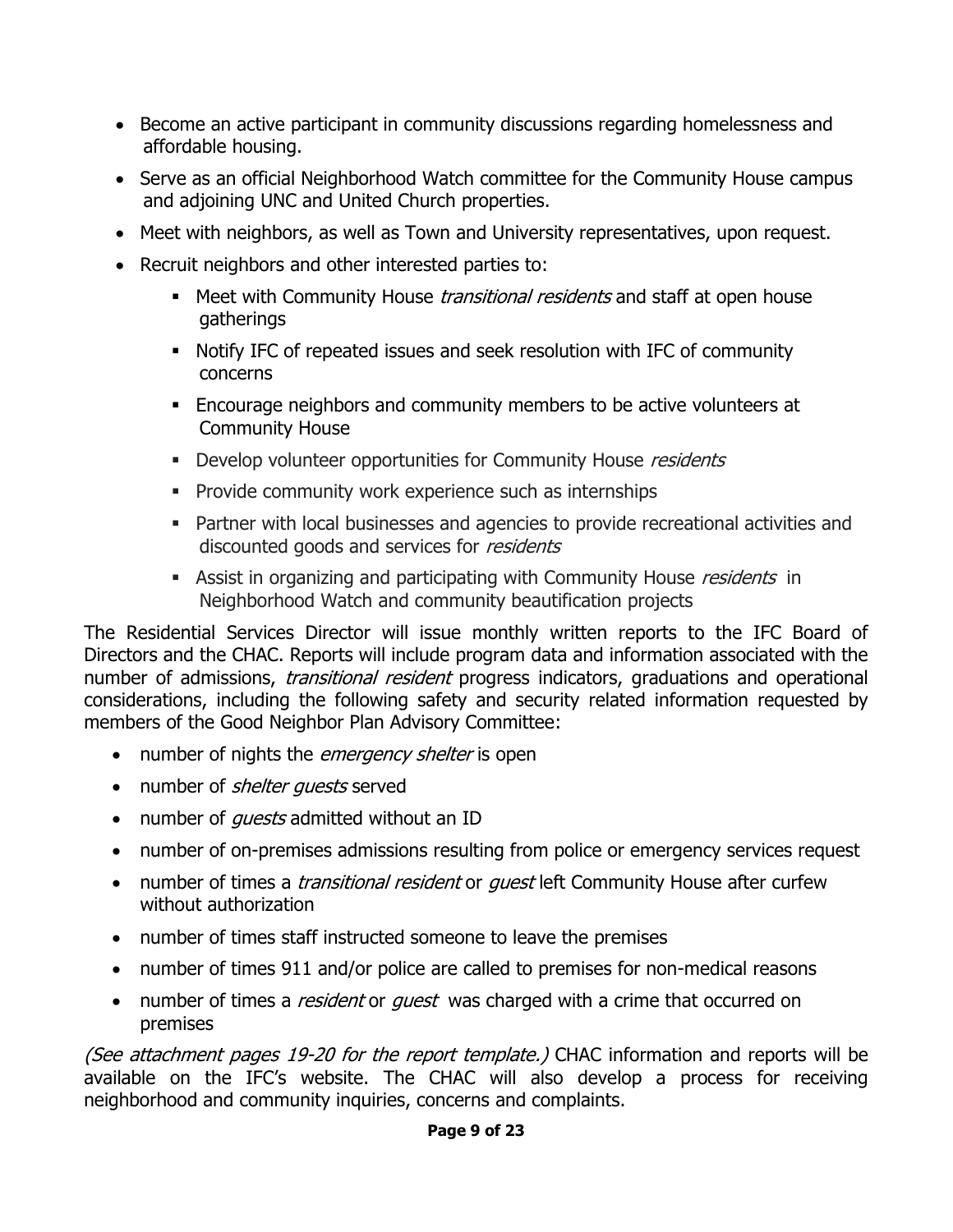- Become an active participant in community discussions regarding homelessness and affordable housing.
- Serve as an official Neighborhood Watch committee for the Community House campus and adjoining UNC and United Church properties.
- Meet with neighbors, as well as Town and University representatives, upon request.
- Recruit neighbors and other interested parties to:
	- **Meet with Community House transitional residents and staff at open house** gatherings
	- Notify IFC of repeated issues and seek resolution with IFC of community concerns
	- Encourage neighbors and community members to be active volunteers at Community House
	- Develop volunteer opportunities for Community House residents
	- **Provide community work experience such as internships**
	- Partner with local businesses and agencies to provide recreational activities and discounted goods and services for residents
	- **Assist in organizing and participating with Community House residents in** Neighborhood Watch and community beautification projects

The Residential Services Director will issue monthly written reports to the IFC Board of Directors and the CHAC. Reports will include program data and information associated with the number of admissions, *transitional resident* progress indicators, graduations and operational considerations, including the following safety and security related information requested by members of the Good Neighbor Plan Advisory Committee:

- number of nights the *emergency shelter* is open
- number of *shelter guests* served
- number of *quests* admitted without an ID
- number of on-premises admissions resulting from police or emergency services request
- number of times a *transitional resident* or *quest* left Community House after curfew without authorization
- number of times staff instructed someone to leave the premises
- number of times 911 and/or police are called to premises for non-medical reasons
- number of times a *resident* or *guest* was charged with a crime that occurred on premises

(See attachment pages 19-20 for the report template.) CHAC information and reports will be available on the IFC's website. The CHAC will also develop a process for receiving neighborhood and community inquiries, concerns and complaints.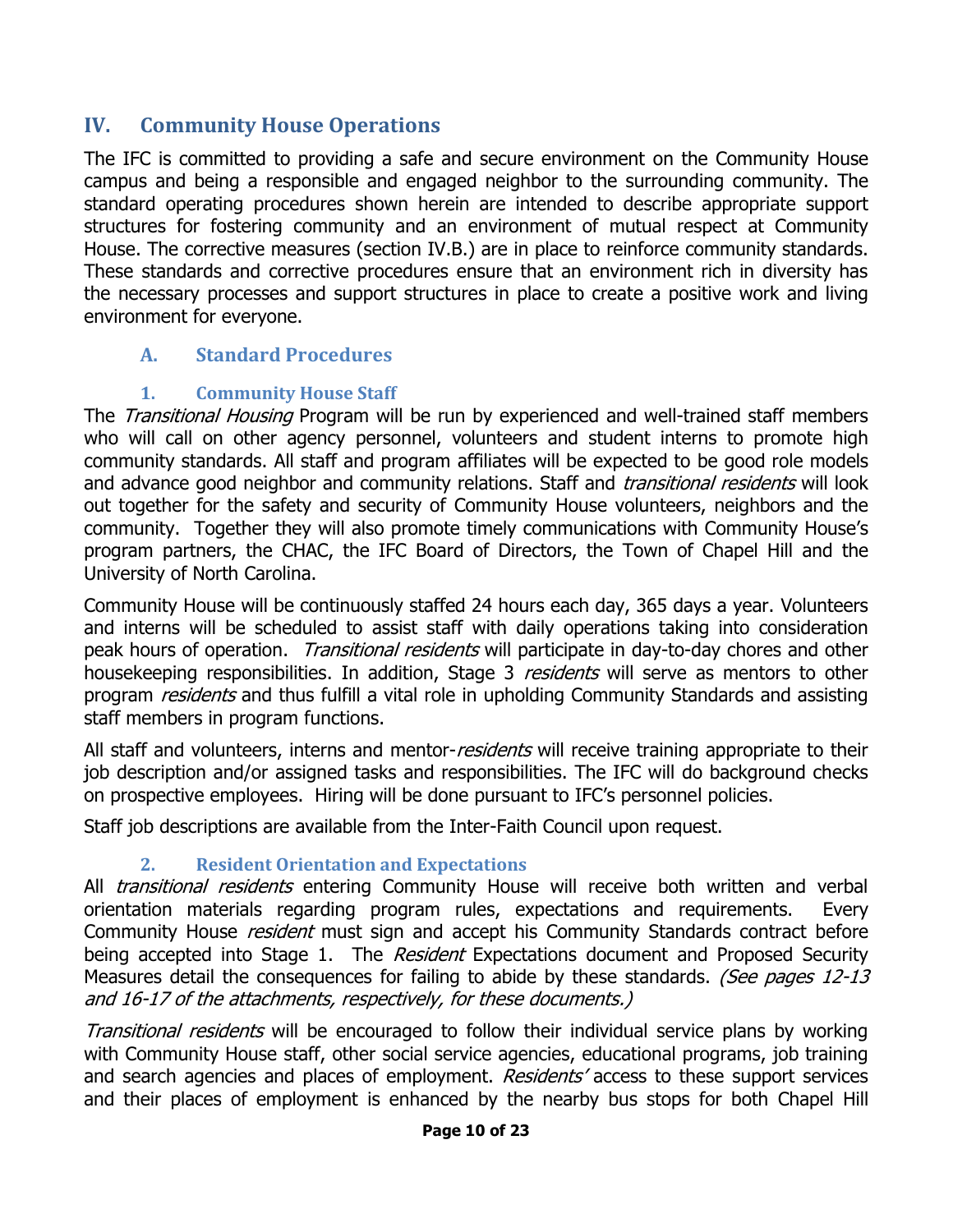#### <span id="page-11-0"></span>**IV. Community House Operations**

The IFC is committed to providing a safe and secure environment on the Community House campus and being a responsible and engaged neighbor to the surrounding community. The standard operating procedures shown herein are intended to describe appropriate support structures for fostering community and an environment of mutual respect at Community House. The corrective measures (section IV.B.) are in place to reinforce community standards. These standards and corrective procedures ensure that an environment rich in diversity has the necessary processes and support structures in place to create a positive work and living environment for everyone.

#### <span id="page-11-1"></span>**A. Standard Procedures**

#### **1. Community House Staff**

<span id="page-11-2"></span>The Transitional Housing Program will be run by experienced and well-trained staff members who will call on other agency personnel, volunteers and student interns to promote high community standards. All staff and program affiliates will be expected to be good role models and advance good neighbor and community relations. Staff and *transitional residents* will look out together for the safety and security of Community House volunteers, neighbors and the community. Together they will also promote timely communications with Community House's program partners, the CHAC, the IFC Board of Directors, the Town of Chapel Hill and the University of North Carolina.

Community House will be continuously staffed 24 hours each day, 365 days a year. Volunteers and interns will be scheduled to assist staff with daily operations taking into consideration peak hours of operation. *Transitional residents* will participate in day-to-day chores and other housekeeping responsibilities. In addition, Stage 3 *residents* will serve as mentors to other program *residents* and thus fulfill a vital role in upholding Community Standards and assisting staff members in program functions.

All staff and volunteers, interns and mentor-*residents* will receive training appropriate to their job description and/or assigned tasks and responsibilities. The IFC will do background checks on prospective employees. Hiring will be done pursuant to IFC's personnel policies.

Staff job descriptions are available from the Inter-Faith Council upon request.

#### **2. Resident Orientation and Expectations**

<span id="page-11-3"></span>All *transitional residents* entering Community House will receive both written and verbal orientation materials regarding program rules, expectations and requirements. Every Community House *resident* must sign and accept his Community Standards contract before being accepted into Stage 1. The Resident Expectations document and Proposed Security Measures detail the consequences for failing to abide by these standards. (See pages 12-13 and 16-17 of the attachments, respectively, for these documents.)

Transitional residents will be encouraged to follow their individual service plans by working with Community House staff, other social service agencies, educational programs, job training and search agencies and places of employment. Residents' access to these support services and their places of employment is enhanced by the nearby bus stops for both Chapel Hill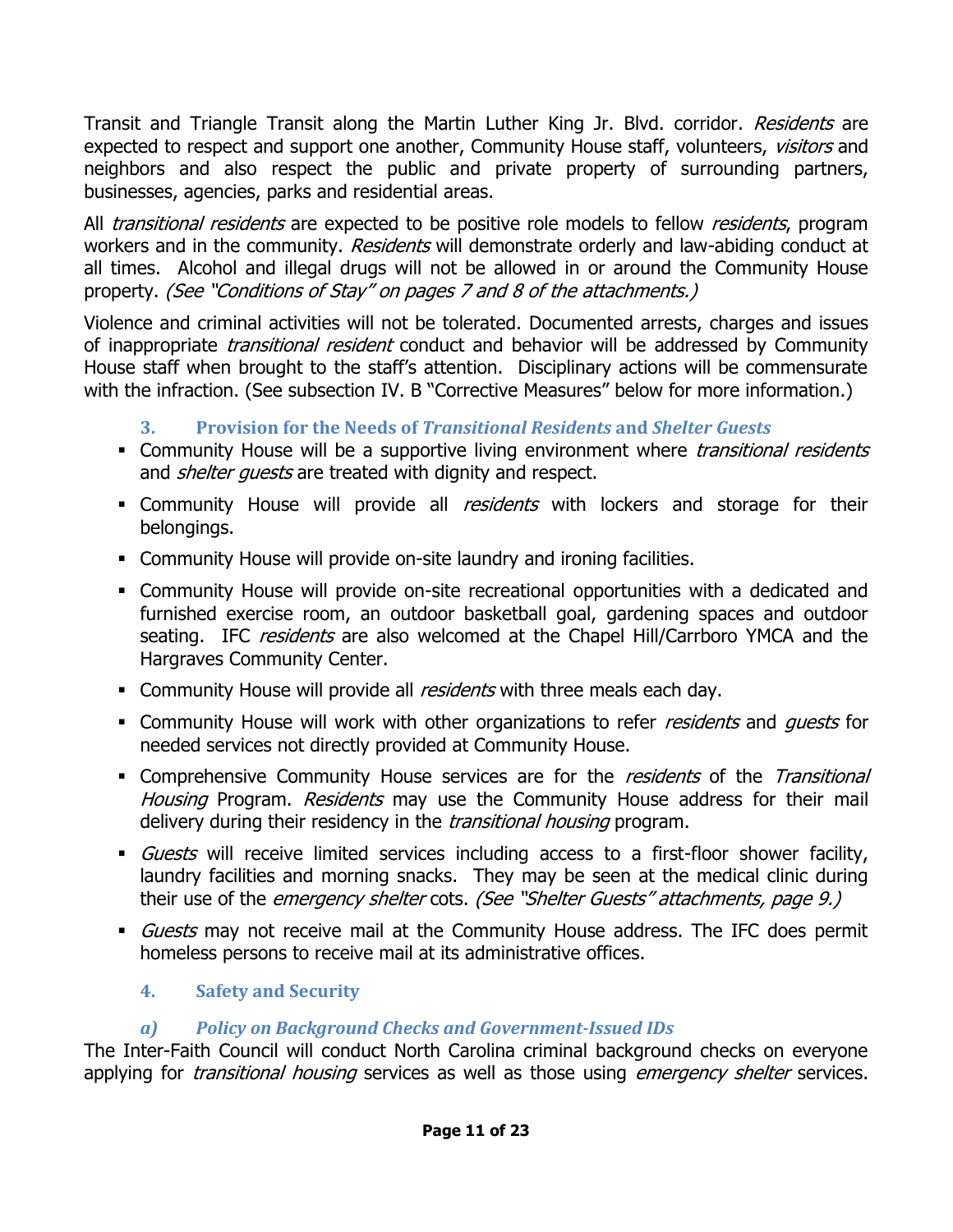Transit and Triangle Transit along the Martin Luther King Jr. Blvd. corridor. Residents are expected to respect and support one another, Community House staff, volunteers, visitors and neighbors and also respect the public and private property of surrounding partners, businesses, agencies, parks and residential areas.

All *transitional residents* are expected to be positive role models to fellow *residents*, program workers and in the community. Residents will demonstrate orderly and law-abiding conduct at all times. Alcohol and illegal drugs will not be allowed in or around the Community House property. (See "Conditions of Stay" on pages 7 and 8 of the attachments.)

Violence and criminal activities will not be tolerated. Documented arrests, charges and issues of inappropriate *transitional resident* conduct and behavior will be addressed by Community House staff when brought to the staff's attention. Disciplinary actions will be commensurate with the infraction. (See subsection IV. B "Corrective Measures" below for more information.)

**3. Provision for the Needs of** *Transitional Residents* **and** *Shelter Guests*

- <span id="page-12-0"></span>• Community House will be a supportive living environment where *transitional residents* and *shelter quests* are treated with dignity and respect.
- Community House will provide all *residents* with lockers and storage for their belongings.
- Community House will provide on-site laundry and ironing facilities.
- Community House will provide on-site recreational opportunities with a dedicated and furnished exercise room, an outdoor basketball goal, gardening spaces and outdoor seating. IFC *residents* are also welcomed at the Chapel Hill/Carrboro YMCA and the Hargraves Community Center.
- **Community House will provide all** *residents* **with three meals each day.**
- Community House will work with other organizations to refer *residents* and *quests* for needed services not directly provided at Community House.
- Comprehensive Community House services are for the residents of the Transitional Housing Program. Residents may use the Community House address for their mail delivery during their residency in the *transitional housing* program.
- Guests will receive limited services including access to a first-floor shower facility, laundry facilities and morning snacks. They may be seen at the medical clinic during their use of the emergency shelter cots. (See "Shelter Guests" attachments, page 9.)
- Guests may not receive mail at the Community House address. The IFC does permit homeless persons to receive mail at its administrative offices.

#### <span id="page-12-1"></span>**4. Safety and Security**

#### *a) Policy on Background Checks and Government-Issued IDs*

The Inter-Faith Council will conduct North Carolina criminal background checks on everyone applying for *transitional housing* services as well as those using *emergency shelter* services.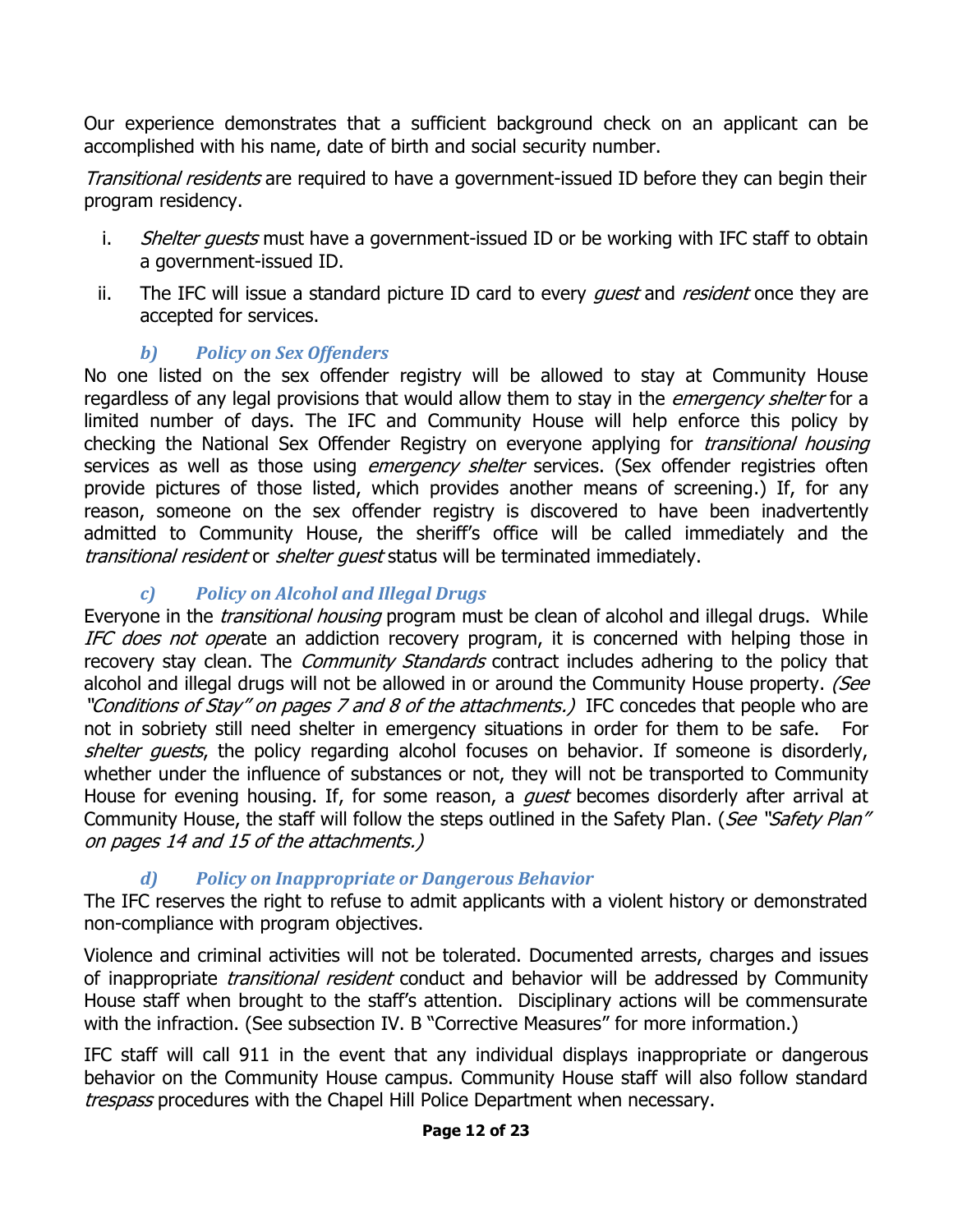Our experience demonstrates that a sufficient background check on an applicant can be accomplished with his name, date of birth and social security number.

Transitional residents are required to have a government-issued ID before they can begin their program residency.

- i. Shelter quests must have a government-issued ID or be working with IFC staff to obtain a government-issued ID.
- ii. The IFC will issue a standard picture ID card to every *quest* and *resident* once they are accepted for services.

#### *b) Policy on Sex Offenders*

No one listed on the sex offender registry will be allowed to stay at Community House regardless of any legal provisions that would allow them to stay in the *emergency shelter* for a limited number of days. The IFC and Community House will help enforce this policy by checking the National Sex Offender Registry on everyone applying for *transitional housing* services as well as those using *emergency shelter* services. (Sex offender registries often provide pictures of those listed, which provides another means of screening.) If, for any reason, someone on the sex offender registry is discovered to have been inadvertently admitted to Community House, the sheriff's office will be called immediately and the transitional resident or shelter quest status will be terminated immediately.

#### *c) Policy on Alcohol and Illegal Drugs*

Everyone in the *transitional housing* program must be clean of alcohol and illegal drugs. While IFC does not operate an addiction recovery program, it is concerned with helping those in recovery stay clean. The *Community Standards* contract includes adhering to the policy that alcohol and illegal drugs will not be allowed in or around the Community House property. (See "Conditions of Stay" on pages 7 and 8 of the attachments.) IFC concedes that people who are not in sobriety still need shelter in emergency situations in order for them to be safe. For shelter guests, the policy regarding alcohol focuses on behavior. If someone is disorderly, whether under the influence of substances or not, they will not be transported to Community House for evening housing. If, for some reason, a *quest* becomes disorderly after arrival at Community House, the staff will follow the steps outlined in the Safety Plan. (See "Safety Plan" on pages 14 and 15 of the attachments.)

#### *d) Policy on Inappropriate or Dangerous Behavior*

The IFC reserves the right to refuse to admit applicants with a violent history or demonstrated non-compliance with program objectives.

Violence and criminal activities will not be tolerated. Documented arrests, charges and issues of inappropriate *transitional resident* conduct and behavior will be addressed by Community House staff when brought to the staff's attention. Disciplinary actions will be commensurate with the infraction. (See subsection IV. B "Corrective Measures" for more information.)

IFC staff will call 911 in the event that any individual displays inappropriate or dangerous behavior on the Community House campus. Community House staff will also follow standard trespass procedures with the Chapel Hill Police Department when necessary.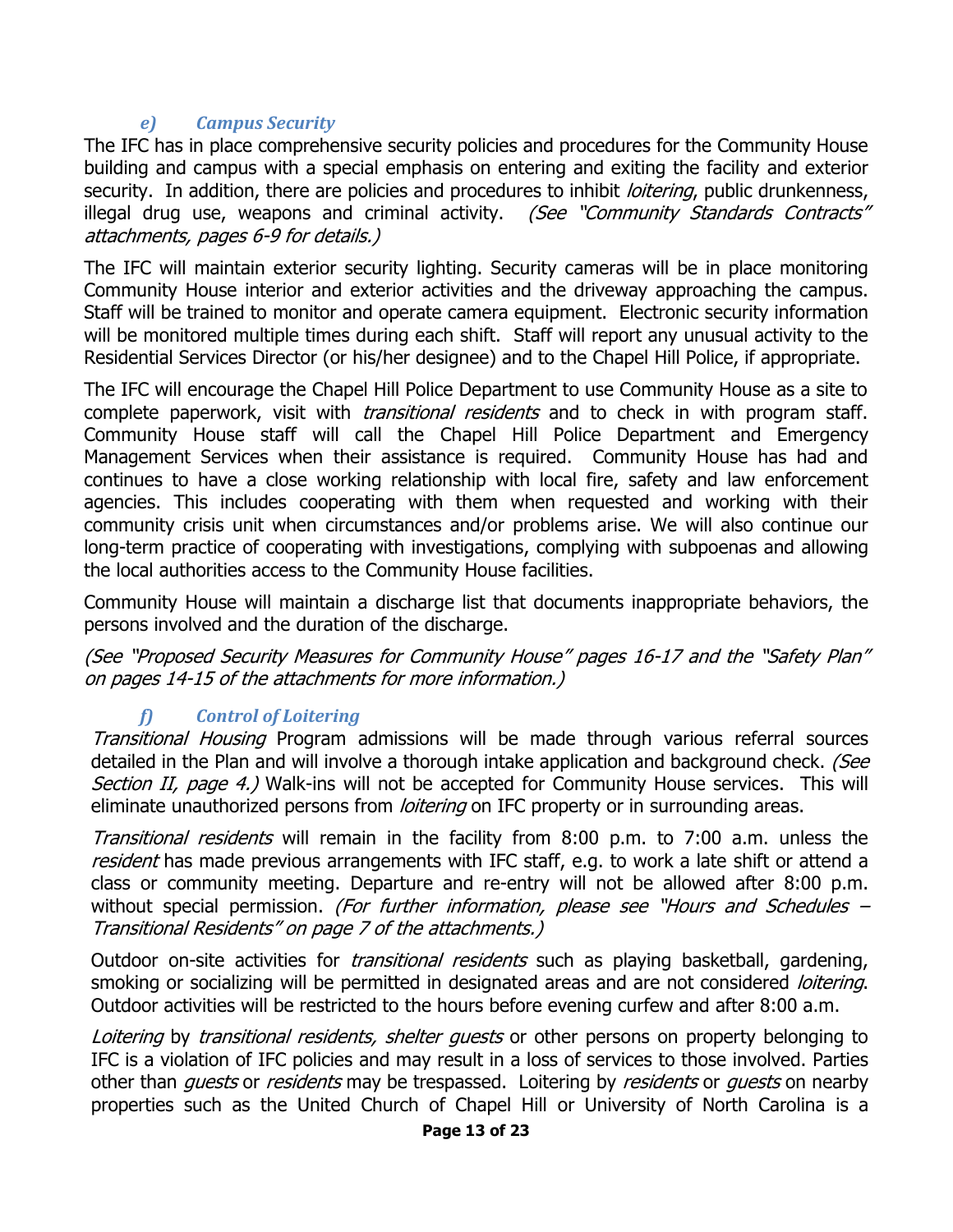#### *e) Campus Security*

The IFC has in place comprehensive security policies and procedures for the Community House building and campus with a special emphasis on entering and exiting the facility and exterior security. In addition, there are policies and procedures to inhibit *loitering*, public drunkenness, illegal drug use, weapons and criminal activity. (See "Community Standards Contracts" attachments, pages 6-9 for details.)

The IFC will maintain exterior security lighting. Security cameras will be in place monitoring Community House interior and exterior activities and the driveway approaching the campus. Staff will be trained to monitor and operate camera equipment. Electronic security information will be monitored multiple times during each shift. Staff will report any unusual activity to the Residential Services Director (or his/her designee) and to the Chapel Hill Police, if appropriate.

The IFC will encourage the Chapel Hill Police Department to use Community House as a site to complete paperwork, visit with *transitional residents* and to check in with program staff. Community House staff will call the Chapel Hill Police Department and Emergency Management Services when their assistance is required. Community House has had and continues to have a close working relationship with local fire, safety and law enforcement agencies. This includes cooperating with them when requested and working with their community crisis unit when circumstances and/or problems arise. We will also continue our long-term practice of cooperating with investigations, complying with subpoenas and allowing the local authorities access to the Community House facilities.

Community House will maintain a discharge list that documents inappropriate behaviors, the persons involved and the duration of the discharge.

(See "Proposed Security Measures for Community House" pages 16-17 and the "Safety Plan" on pages 14-15 of the attachments for more information.)

#### *f) Control of Loitering*

Transitional Housing Program admissions will be made through various referral sources detailed in the Plan and will involve a thorough intake application and background check. (See Section II, page 4.) Walk-ins will not be accepted for Community House services. This will eliminate unauthorized persons from *loitering* on IFC property or in surrounding areas.

Transitional residents will remain in the facility from 8:00 p.m. to 7:00 a.m. unless the resident has made previous arrangements with IFC staff, e.g. to work a late shift or attend a class or community meeting. Departure and re-entry will not be allowed after 8:00 p.m. without special permission. (For further information, please see "Hours and Schedules – Transitional Residents" on page 7 of the attachments.)

Outdoor on-site activities for *transitional residents* such as playing basketball, gardening, smoking or socializing will be permitted in designated areas and are not considered *loitering*. Outdoor activities will be restricted to the hours before evening curfew and after 8:00 a.m.

Loitering by transitional residents, shelter quests or other persons on property belonging to IFC is a violation of IFC policies and may result in a loss of services to those involved. Parties other than *quests* or *residents* may be trespassed. Loitering by *residents* or *quests* on nearby properties such as the United Church of Chapel Hill or University of North Carolina is a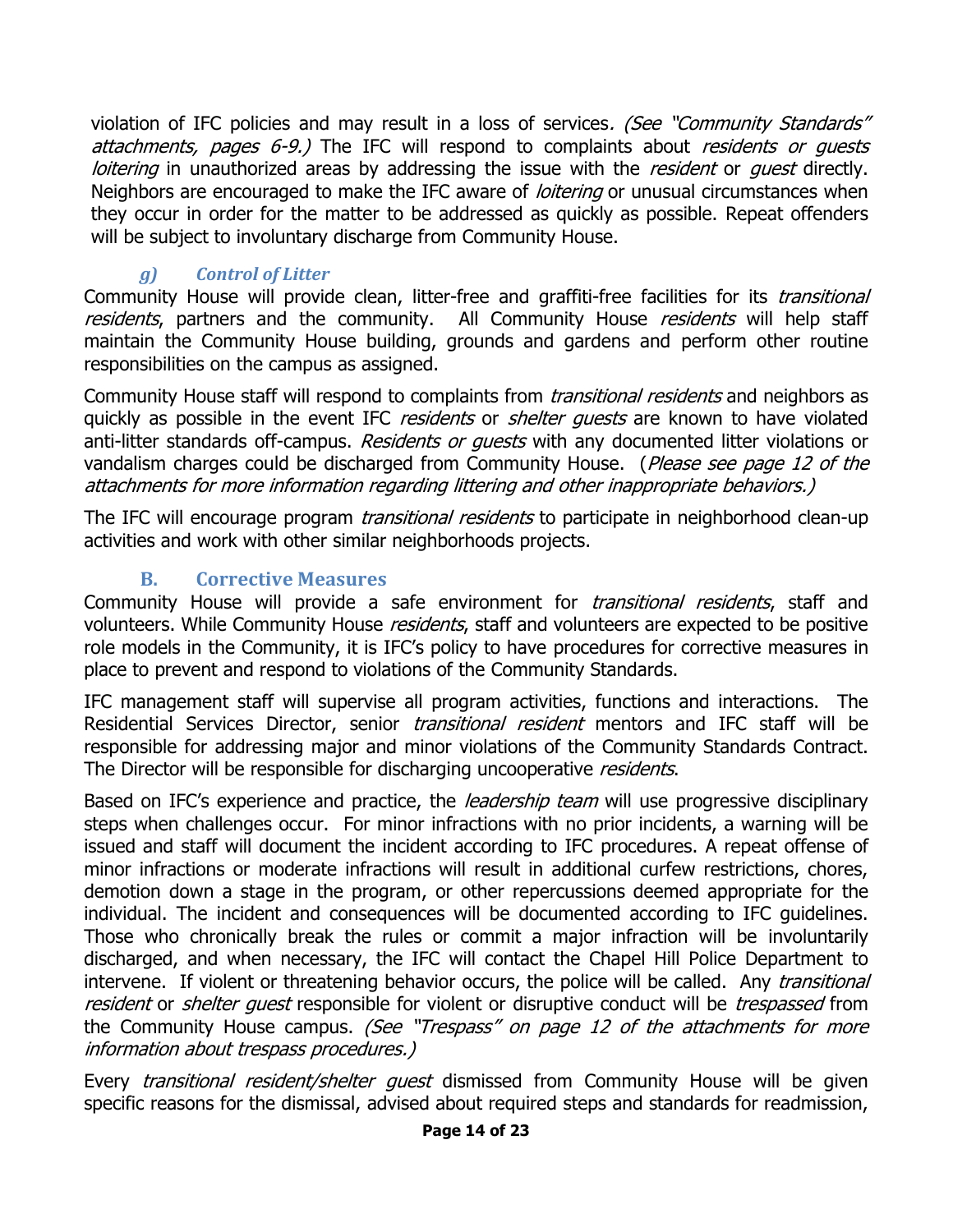violation of IFC policies and may result in a loss of services. (See "Community Standards" attachments, pages 6-9.) The IFC will respond to complaints about residents or quests loitering in unauthorized areas by addressing the issue with the resident or quest directly. Neighbors are encouraged to make the IFC aware of *loitering* or unusual circumstances when they occur in order for the matter to be addressed as quickly as possible. Repeat offenders will be subject to involuntary discharge from Community House.

#### *g) Control of Litter*

Community House will provide clean, litter-free and graffiti-free facilities for its *transitional* residents, partners and the community. All Community House residents will help staff maintain the Community House building, grounds and gardens and perform other routine responsibilities on the campus as assigned.

Community House staff will respond to complaints from *transitional residents* and neighbors as quickly as possible in the event IFC *residents* or *shelter quests* are known to have violated anti-litter standards off-campus. Residents or quests with any documented litter violations or vandalism charges could be discharged from Community House. (Please see page 12 of the attachments for more information regarding littering and other inappropriate behaviors.)

The IFC will encourage program *transitional residents* to participate in neighborhood clean-up activities and work with other similar neighborhoods projects.

#### **B. Corrective Measures**

<span id="page-15-0"></span>Community House will provide a safe environment for *transitional residents*, staff and volunteers. While Community House *residents*, staff and volunteers are expected to be positive role models in the Community, it is IFC's policy to have procedures for corrective measures in place to prevent and respond to violations of the Community Standards.

IFC management staff will supervise all program activities, functions and interactions. The Residential Services Director, senior *transitional resident* mentors and IFC staff will be responsible for addressing major and minor violations of the Community Standards Contract. The Director will be responsible for discharging uncooperative residents.

Based on IFC's experience and practice, the *leadership team* will use progressive disciplinary steps when challenges occur. For minor infractions with no prior incidents, a warning will be issued and staff will document the incident according to IFC procedures. A repeat offense of minor infractions or moderate infractions will result in additional curfew restrictions, chores, demotion down a stage in the program, or other repercussions deemed appropriate for the individual. The incident and consequences will be documented according to IFC guidelines. Those who chronically break the rules or commit a major infraction will be involuntarily discharged, and when necessary, the IFC will contact the Chapel Hill Police Department to intervene. If violent or threatening behavior occurs, the police will be called. Any transitional resident or shelter quest responsible for violent or disruptive conduct will be trespassed from the Community House campus. (See "Trespass" on page 12 of the attachments for more information about trespass procedures.)

Every *transitional resident/shelter guest* dismissed from Community House will be given specific reasons for the dismissal, advised about required steps and standards for readmission,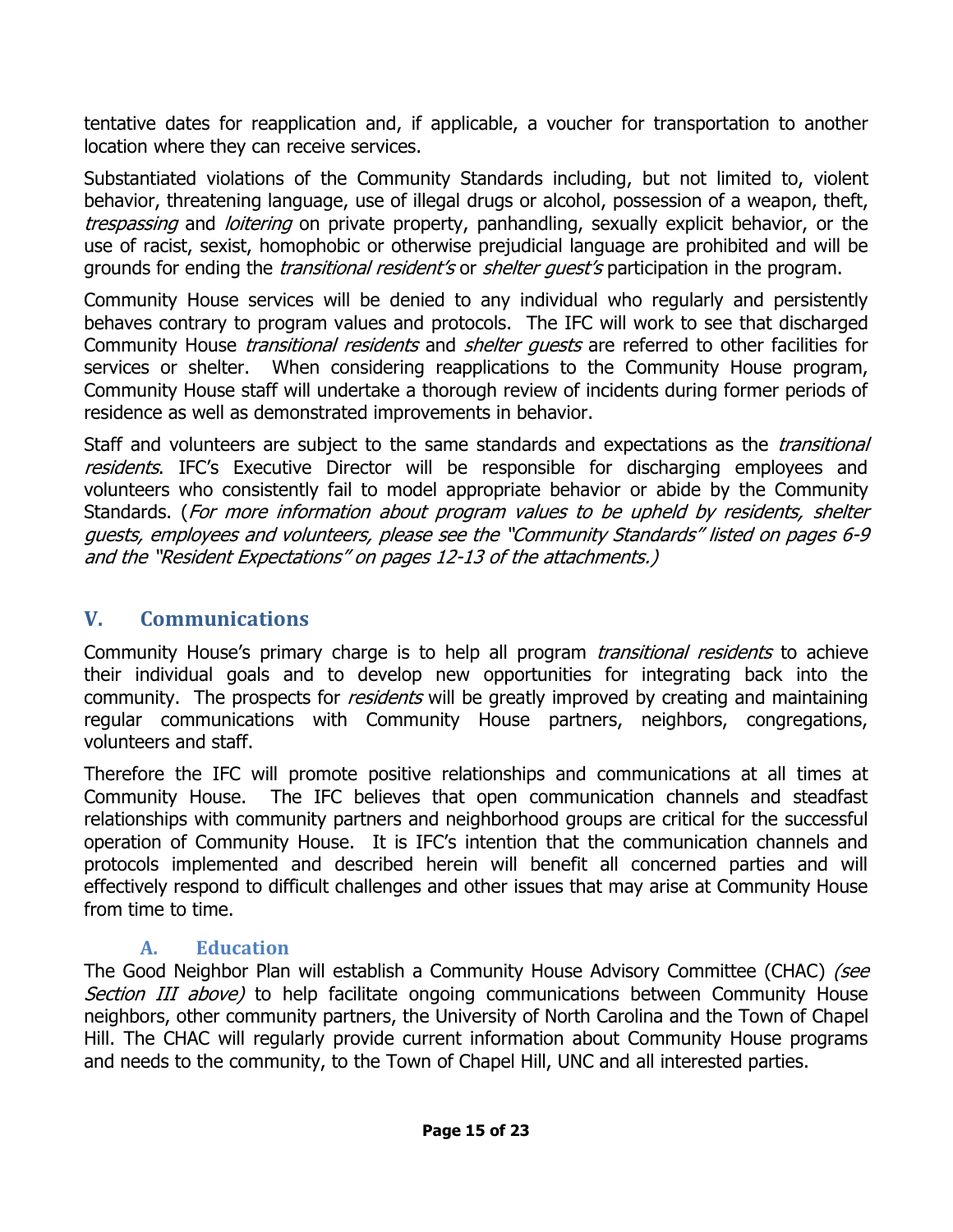tentative dates for reapplication and, if applicable, a voucher for transportation to another location where they can receive services.

Substantiated violations of the Community Standards including, but not limited to, violent behavior, threatening language, use of illegal drugs or alcohol, possession of a weapon, theft, trespassing and *loitering* on private property, panhandling, sexually explicit behavior, or the use of racist, sexist, homophobic or otherwise prejudicial language are prohibited and will be grounds for ending the *transitional resident's* or *shelter quest's* participation in the program.

Community House services will be denied to any individual who regularly and persistently behaves contrary to program values and protocols. The IFC will work to see that discharged Community House *transitional residents* and *shelter quests* are referred to other facilities for services or shelter. When considering reapplications to the Community House program, Community House staff will undertake a thorough review of incidents during former periods of residence as well as demonstrated improvements in behavior.

Staff and volunteers are subject to the same standards and expectations as the *transitional* residents. IFC's Executive Director will be responsible for discharging employees and volunteers who consistently fail to model appropriate behavior or abide by the Community Standards. (For more information about program values to be upheld by residents, shelter guests, employees and volunteers, please see the "Community Standards" listed on page<sup>s</sup> 6-9 and the "Resident Expectations" on page<sup>s</sup> 12-13 of the attachments.)

#### <span id="page-16-0"></span>**V. Communications**

Community House's primary charge is to help all program *transitional residents* to achieve their individual goals and to develop new opportunities for integrating back into the community. The prospects for *residents* will be greatly improved by creating and maintaining regular communications with Community House partners, neighbors, congregations, volunteers and staff.

Therefore the IFC will promote positive relationships and communications at all times at Community House. The IFC believes that open communication channels and steadfast relationships with community partners and neighborhood groups are critical for the successful operation of Community House. It is IFC's intention that the communication channels and protocols implemented and described herein will benefit all concerned parties and will effectively respond to difficult challenges and other issues that may arise at Community House from time to time.

#### **A. Education**

<span id="page-16-1"></span>The Good Neighbor Plan will establish a Community House Advisory Committee (CHAC) (see Section III above) to help facilitate ongoing communications between Community House neighbors, other community partners, the University of North Carolina and the Town of Chapel Hill. The CHAC will regularly provide current information about Community House programs and needs to the community, to the Town of Chapel Hill, UNC and all interested parties.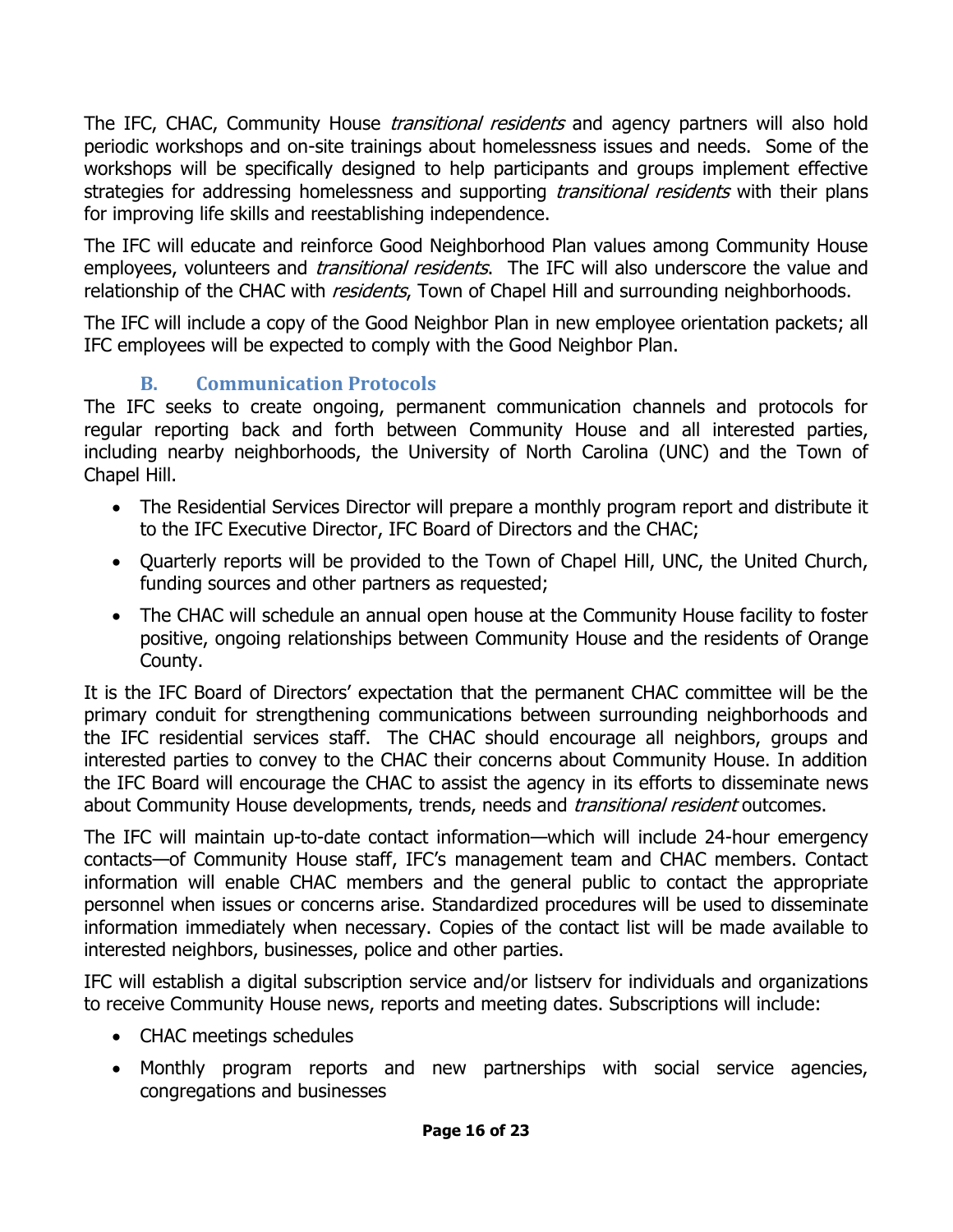The IFC, CHAC, Community House *transitional residents* and agency partners will also hold periodic workshops and on-site trainings about homelessness issues and needs. Some of the workshops will be specifically designed to help participants and groups implement effective strategies for addressing homelessness and supporting *transitional residents* with their plans for improving life skills and reestablishing independence.

The IFC will educate and reinforce Good Neighborhood Plan values among Community House employees, volunteers and *transitional residents*. The IFC will also underscore the value and relationship of the CHAC with *residents*, Town of Chapel Hill and surrounding neighborhoods.

The IFC will include a copy of the Good Neighbor Plan in new employee orientation packets; all IFC employees will be expected to comply with the Good Neighbor Plan.

#### **B. Communication Protocols**

<span id="page-17-0"></span>The IFC seeks to create ongoing, permanent communication channels and protocols for regular reporting back and forth between Community House and all interested parties, including nearby neighborhoods, the University of North Carolina (UNC) and the Town of Chapel Hill.

- The Residential Services Director will prepare a monthly program report and distribute it to the IFC Executive Director, IFC Board of Directors and the CHAC;
- Quarterly reports will be provided to the Town of Chapel Hill, UNC, the United Church, funding sources and other partners as requested;
- The CHAC will schedule an annual open house at the Community House facility to foster positive, ongoing relationships between Community House and the residents of Orange County.

It is the IFC Board of Directors' expectation that the permanent CHAC committee will be the primary conduit for strengthening communications between surrounding neighborhoods and the IFC residential services staff. The CHAC should encourage all neighbors, groups and interested parties to convey to the CHAC their concerns about Community House. In addition the IFC Board will encourage the CHAC to assist the agency in its efforts to disseminate news about Community House developments, trends, needs and *transitional resident* outcomes.

The IFC will maintain up-to-date contact information—which will include 24-hour emergency contacts—of Community House staff, IFC's management team and CHAC members. Contact information will enable CHAC members and the general public to contact the appropriate personnel when issues or concerns arise. Standardized procedures will be used to disseminate information immediately when necessary. Copies of the contact list will be made available to interested neighbors, businesses, police and other parties.

IFC will establish a digital subscription service and/or listserv for individuals and organizations to receive Community House news, reports and meeting dates. Subscriptions will include:

- CHAC meetings schedules
- Monthly program reports and new partnerships with social service agencies, congregations and businesses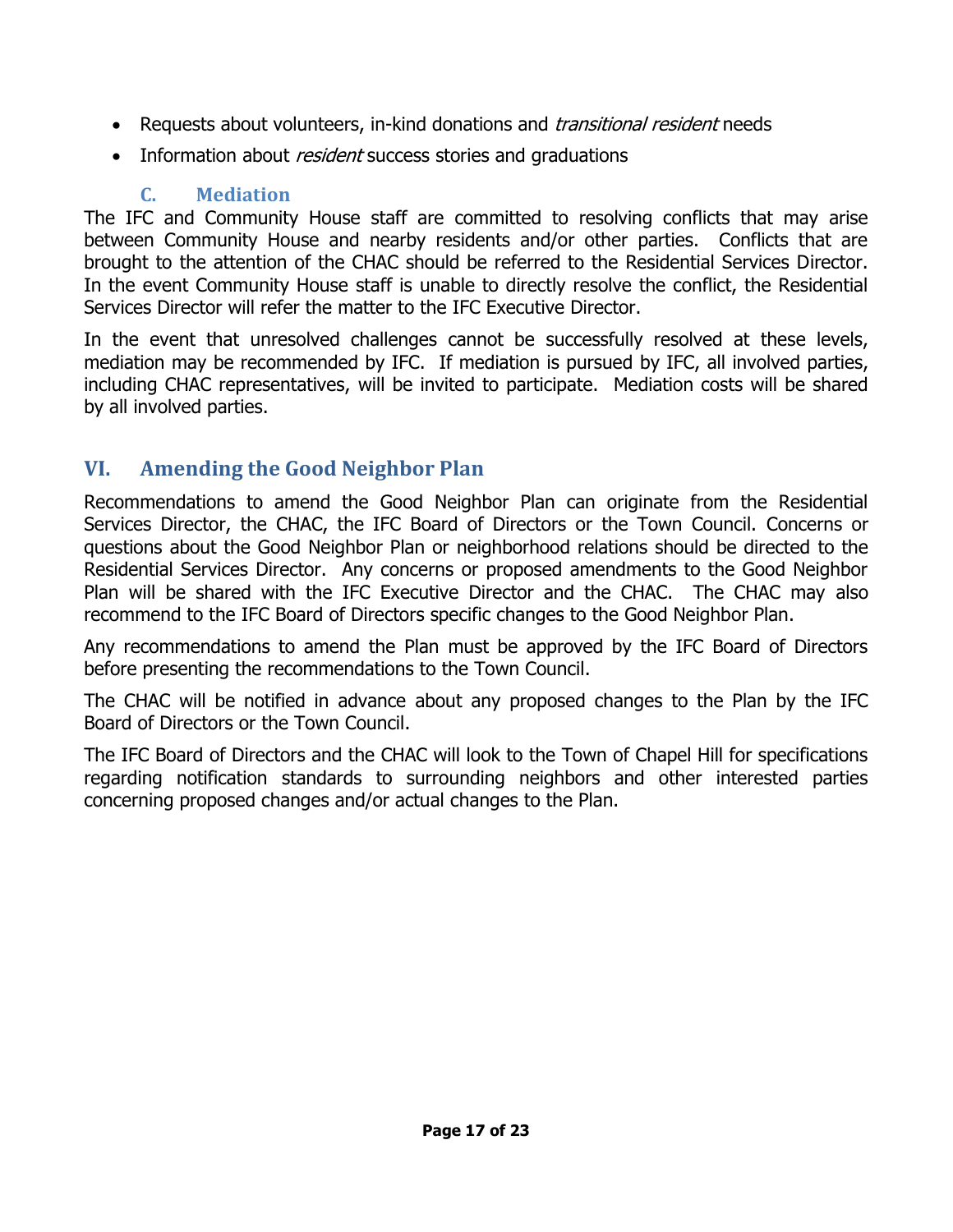- Requests about volunteers, in-kind donations and *transitional resident* needs
- Information about *resident* success stories and graduations

## **C. Mediation**

<span id="page-18-0"></span>The IFC and Community House staff are committed to resolving conflicts that may arise between Community House and nearby residents and/or other parties. Conflicts that are brought to the attention of the CHAC should be referred to the Residential Services Director. In the event Community House staff is unable to directly resolve the conflict, the Residential Services Director will refer the matter to the IFC Executive Director.

In the event that unresolved challenges cannot be successfully resolved at these levels, mediation may be recommended by IFC. If mediation is pursued by IFC, all involved parties, including CHAC representatives, will be invited to participate. Mediation costs will be shared by all involved parties.

# <span id="page-18-1"></span>**VI. Amending the Good Neighbor Plan**

Recommendations to amend the Good Neighbor Plan can originate from the Residential Services Director, the CHAC, the IFC Board of Directors or the Town Council. Concerns or questions about the Good Neighbor Plan or neighborhood relations should be directed to the Residential Services Director. Any concerns or proposed amendments to the Good Neighbor Plan will be shared with the IFC Executive Director and the CHAC. The CHAC may also recommend to the IFC Board of Directors specific changes to the Good Neighbor Plan.

Any recommendations to amend the Plan must be approved by the IFC Board of Directors before presenting the recommendations to the Town Council.

The CHAC will be notified in advance about any proposed changes to the Plan by the IFC Board of Directors or the Town Council.

The IFC Board of Directors and the CHAC will look to the Town of Chapel Hill for specifications regarding notification standards to surrounding neighbors and other interested parties concerning proposed changes and/or actual changes to the Plan.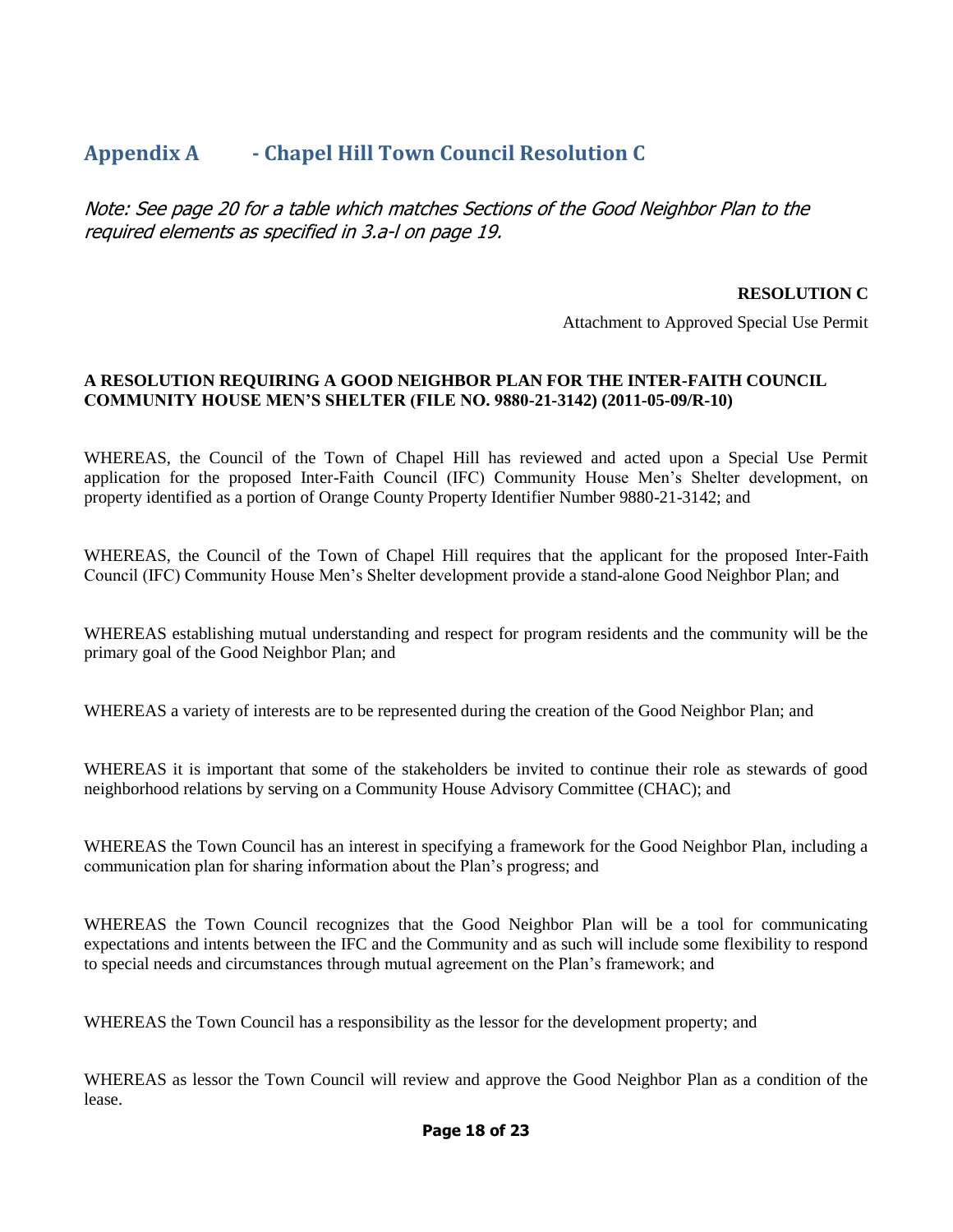#### <span id="page-19-0"></span>**Appendix A - Chapel Hill Town Council Resolution C**

Note: See page 20 for a table which matches Sections of the Good Neighbor Plan to the required elements as specified in 3.a-l on page 19.

#### **RESOLUTION C**

Attachment to Approved Special Use Permit

#### **A RESOLUTION REQUIRING A GOOD NEIGHBOR PLAN FOR THE INTER-FAITH COUNCIL COMMUNITY HOUSE MEN'S SHELTER (FILE NO. 9880-21-3142) (2011-05-09/R-10)**

WHEREAS, the Council of the Town of Chapel Hill has reviewed and acted upon a Special Use Permit application for the proposed Inter-Faith Council (IFC) Community House Men's Shelter development, on property identified as a portion of Orange County Property Identifier Number 9880-21-3142; and

WHEREAS, the Council of the Town of Chapel Hill requires that the applicant for the proposed Inter-Faith Council (IFC) Community House Men's Shelter development provide a stand-alone Good Neighbor Plan; and

WHEREAS establishing mutual understanding and respect for program residents and the community will be the primary goal of the Good Neighbor Plan; and

WHEREAS a variety of interests are to be represented during the creation of the Good Neighbor Plan; and

WHEREAS it is important that some of the stakeholders be invited to continue their role as stewards of good neighborhood relations by serving on a Community House Advisory Committee (CHAC); and

WHEREAS the Town Council has an interest in specifying a framework for the Good Neighbor Plan, including a communication plan for sharing information about the Plan's progress; and

WHEREAS the Town Council recognizes that the Good Neighbor Plan will be a tool for communicating expectations and intents between the IFC and the Community and as such will include some flexibility to respond to special needs and circumstances through mutual agreement on the Plan's framework; and

WHEREAS the Town Council has a responsibility as the lessor for the development property; and

WHEREAS as lessor the Town Council will review and approve the Good Neighbor Plan as a condition of the lease.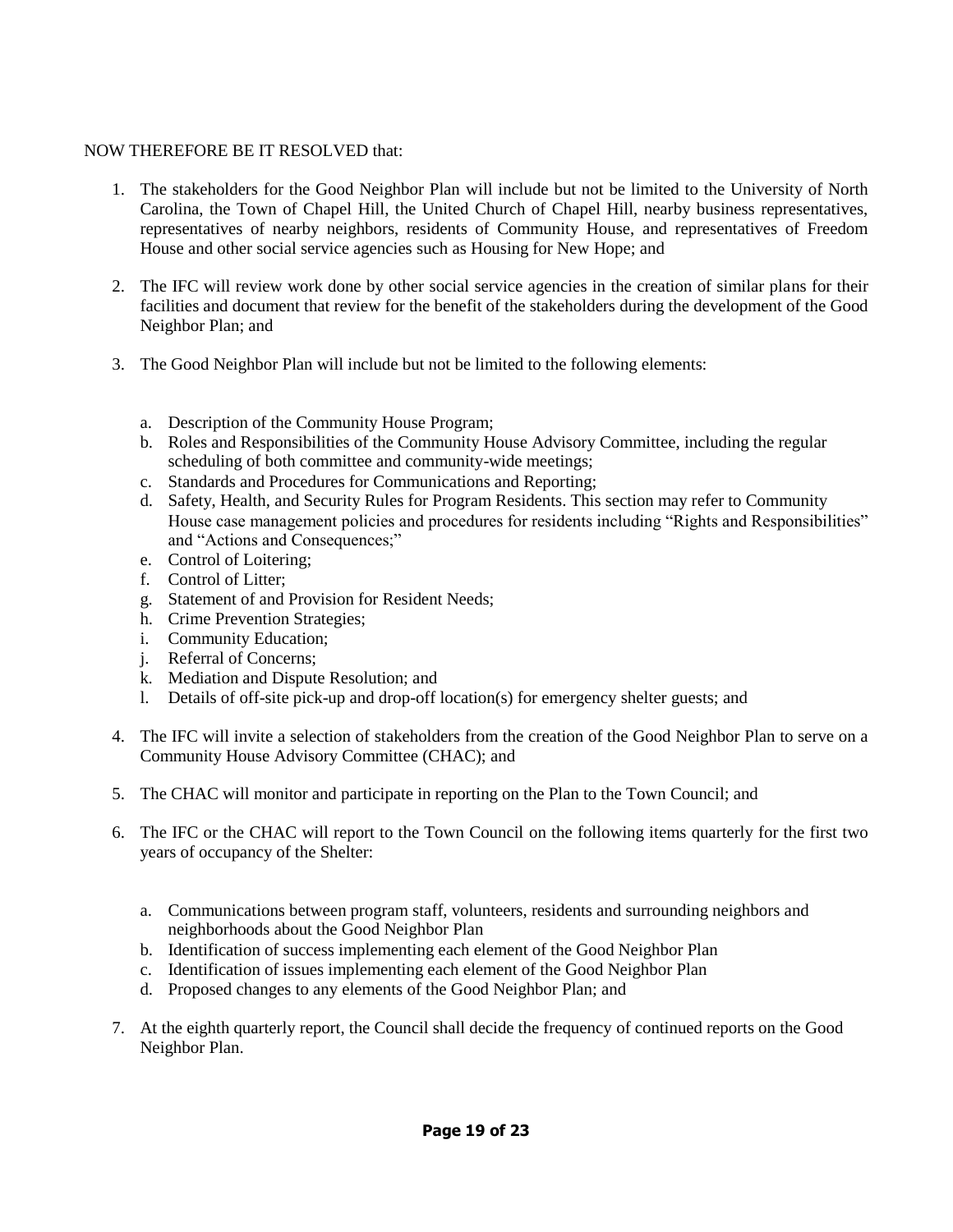#### NOW THEREFORE BE IT RESOLVED that:

- 1. The stakeholders for the Good Neighbor Plan will include but not be limited to the University of North Carolina, the Town of Chapel Hill, the United Church of Chapel Hill, nearby business representatives, representatives of nearby neighbors, residents of Community House, and representatives of Freedom House and other social service agencies such as Housing for New Hope; and
- 2. The IFC will review work done by other social service agencies in the creation of similar plans for their facilities and document that review for the benefit of the stakeholders during the development of the Good Neighbor Plan; and
- 3. The Good Neighbor Plan will include but not be limited to the following elements:
	- a. Description of the Community House Program;
	- b. Roles and Responsibilities of the Community House Advisory Committee, including the regular scheduling of both committee and community-wide meetings;
	- c. Standards and Procedures for Communications and Reporting;
	- d. Safety, Health, and Security Rules for Program Residents. This section may refer to Community House case management policies and procedures for residents including "Rights and Responsibilities" and "Actions and Consequences;"
	- e. Control of Loitering;
	- f. Control of Litter;
	- g. Statement of and Provision for Resident Needs;
	- h. Crime Prevention Strategies;
	- i. Community Education;
	- j. Referral of Concerns;
	- k. Mediation and Dispute Resolution; and
	- l. Details of off-site pick-up and drop-off location(s) for emergency shelter guests; and
- 4. The IFC will invite a selection of stakeholders from the creation of the Good Neighbor Plan to serve on a Community House Advisory Committee (CHAC); and
- 5. The CHAC will monitor and participate in reporting on the Plan to the Town Council; and
- 6. The IFC or the CHAC will report to the Town Council on the following items quarterly for the first two years of occupancy of the Shelter:
	- a. Communications between program staff, volunteers, residents and surrounding neighbors and neighborhoods about the Good Neighbor Plan
	- b. Identification of success implementing each element of the Good Neighbor Plan
	- c. Identification of issues implementing each element of the Good Neighbor Plan
	- d. Proposed changes to any elements of the Good Neighbor Plan; and
- 7. At the eighth quarterly report, the Council shall decide the frequency of continued reports on the Good Neighbor Plan.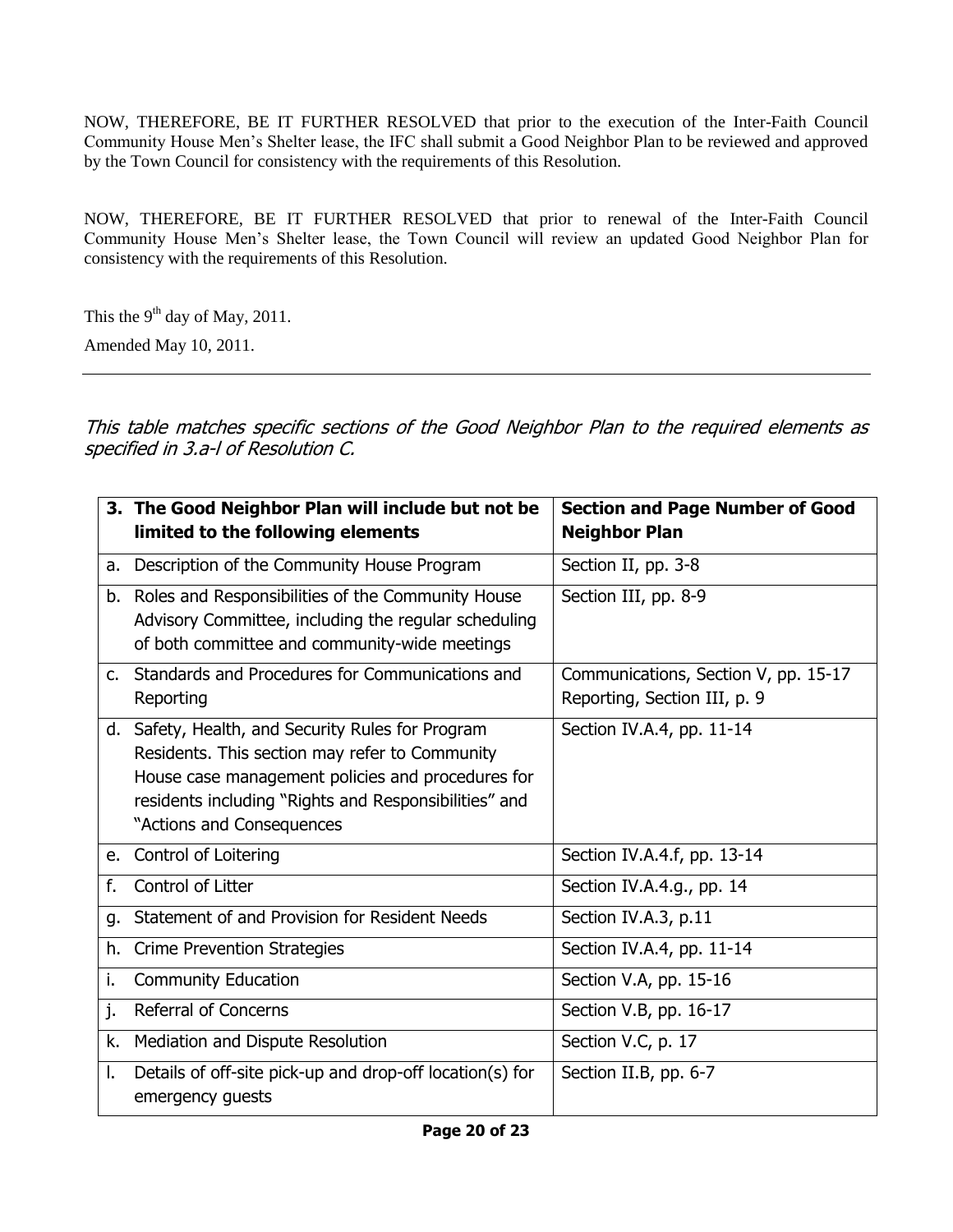NOW, THEREFORE, BE IT FURTHER RESOLVED that prior to the execution of the Inter-Faith Council Community House Men's Shelter lease, the IFC shall submit a Good Neighbor Plan to be reviewed and approved by the Town Council for consistency with the requirements of this Resolution.

NOW, THEREFORE, BE IT FURTHER RESOLVED that prior to renewal of the Inter-Faith Council Community House Men's Shelter lease, the Town Council will review an updated Good Neighbor Plan for consistency with the requirements of this Resolution.

This the  $9<sup>th</sup>$  day of May, 2011.

Amended May 10, 2011.

This table matches specific sections of the Good Neighbor Plan to the required elements as specified in 3.a-l of Resolution C.

|    | 3. The Good Neighbor Plan will include but not be<br>limited to the following elements                                                                                                                                                          | <b>Section and Page Number of Good</b><br><b>Neighbor Plan</b>       |
|----|-------------------------------------------------------------------------------------------------------------------------------------------------------------------------------------------------------------------------------------------------|----------------------------------------------------------------------|
|    | a. Description of the Community House Program                                                                                                                                                                                                   | Section II, pp. 3-8                                                  |
|    | b. Roles and Responsibilities of the Community House<br>Advisory Committee, including the regular scheduling<br>of both committee and community-wide meetings                                                                                   | Section III, pp. 8-9                                                 |
|    | c. Standards and Procedures for Communications and<br>Reporting                                                                                                                                                                                 | Communications, Section V, pp. 15-17<br>Reporting, Section III, p. 9 |
|    | d. Safety, Health, and Security Rules for Program<br>Residents. This section may refer to Community<br>House case management policies and procedures for<br>residents including "Rights and Responsibilities" and<br>"Actions and Consequences" | Section IV.A.4, pp. 11-14                                            |
|    | e. Control of Loitering                                                                                                                                                                                                                         | Section IV.A.4.f, pp. 13-14                                          |
| f. | Control of Litter                                                                                                                                                                                                                               | Section IV.A.4.g., pp. 14                                            |
| q. | Statement of and Provision for Resident Needs                                                                                                                                                                                                   | Section IV.A.3, p.11                                                 |
| h. | <b>Crime Prevention Strategies</b>                                                                                                                                                                                                              | Section IV.A.4, pp. 11-14                                            |
| i. | <b>Community Education</b>                                                                                                                                                                                                                      | Section V.A, pp. 15-16                                               |
| j. | <b>Referral of Concerns</b>                                                                                                                                                                                                                     | Section V.B, pp. 16-17                                               |
| k. | Mediation and Dispute Resolution                                                                                                                                                                                                                | Section V.C, p. 17                                                   |
| L. | Details of off-site pick-up and drop-off location(s) for<br>emergency guests                                                                                                                                                                    | Section II.B, pp. 6-7                                                |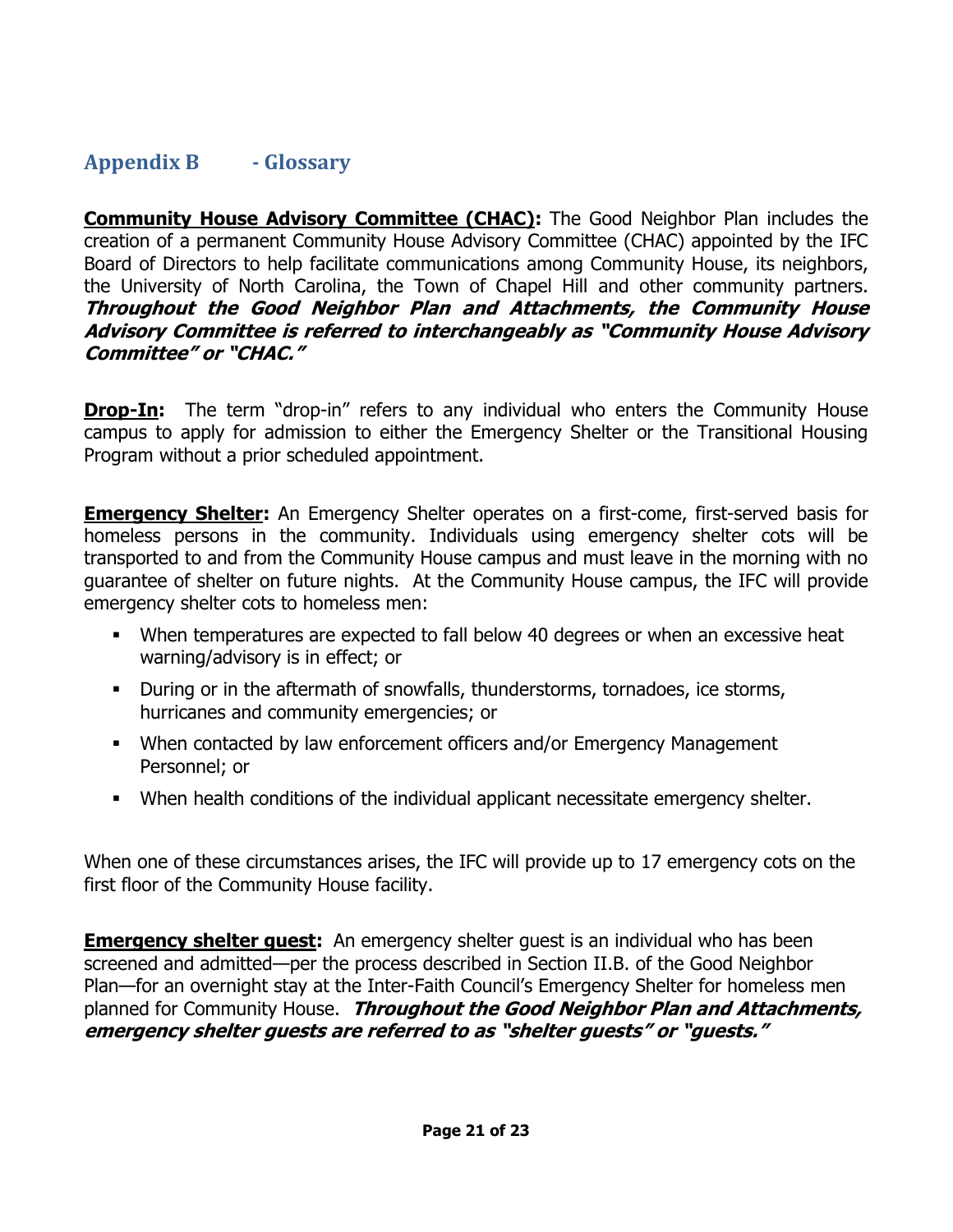#### <span id="page-22-0"></span>**Appendix B - Glossary**

**Community House Advisory Committee (CHAC):** The Good Neighbor Plan includes the creation of a permanent Community House Advisory Committee (CHAC) appointed by the IFC Board of Directors to help facilitate communications among Community House, its neighbors, the University of North Carolina, the Town of Chapel Hill and other community partners. **Throughout the Good Neighbor Plan and Attachments, the Community House Advisory Committee is referred to interchangeably as "Community House Advisory Committee" or "CHAC."** 

**Drop-In:** The term "drop-in" refers to any individual who enters the Community House campus to apply for admission to either the Emergency Shelter or the Transitional Housing Program without a prior scheduled appointment.

**Emergency Shelter:** An Emergency Shelter operates on a first-come, first-served basis for homeless persons in the community. Individuals using emergency shelter cots will be transported to and from the Community House campus and must leave in the morning with no guarantee of shelter on future nights. At the Community House campus, the IFC will provide emergency shelter cots to homeless men:

- When temperatures are expected to fall below 40 degrees or when an excessive heat warning/advisory is in effect; or
- During or in the aftermath of snowfalls, thunderstorms, tornadoes, ice storms, hurricanes and community emergencies; or
- When contacted by law enforcement officers and/or Emergency Management Personnel; or
- When health conditions of the individual applicant necessitate emergency shelter.

When one of these circumstances arises, the IFC will provide up to 17 emergency cots on the first floor of the Community House facility.

**Emergency shelter quest:** An emergency shelter guest is an individual who has been screened and admitted—per the process described in Section II.B. of the Good Neighbor Plan—for an overnight stay at the Inter-Faith Council's Emergency Shelter for homeless men planned for Community House. **Throughout the Good Neighbor Plan and Attachments, emergency shelter guests are referred to as "shelter guests" or "guests."**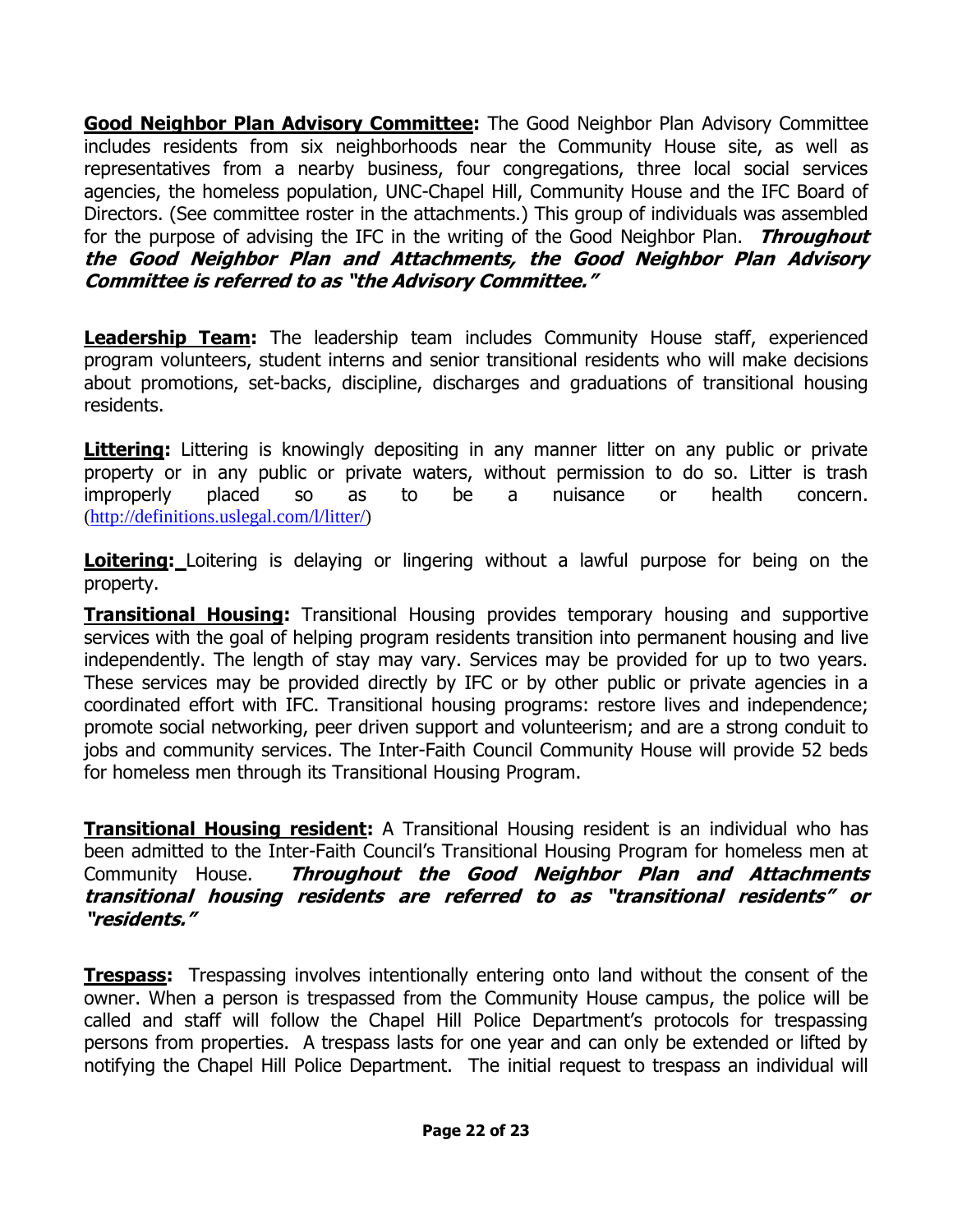**Good Neighbor Plan Advisory Committee:** The Good Neighbor Plan Advisory Committee includes residents from six neighborhoods near the Community House site, as well as representatives from a nearby business, four congregations, three local social services agencies, the homeless population, UNC-Chapel Hill, Community House and the IFC Board of Directors. (See committee roster in the attachments.) This group of individuals was assembled for the purpose of advising the IFC in the writing of the Good Neighbor Plan. **Throughout the Good Neighbor Plan and Attachments, the Good Neighbor Plan Advisory Committee is referred to as "the Advisory Committee."** 

**Leadership Team:** The leadership team includes Community House staff, experienced program volunteers, student interns and senior transitional residents who will make decisions about promotions, set-backs, discipline, discharges and graduations of transitional housing residents.

**Littering:** Littering is knowingly depositing in any manner litter on any public or private property or in any public or private waters, without permission to do so. Litter is trash improperly placed so as to be a nuisance or health concern. [\(http://definitions.uslegal.com/l/litter/\)](http://definitions.uslegal.com/l/litter/)

**Loitering:** Loitering is delaying or lingering without a lawful purpose for being on the property.

**Transitional Housing:** Transitional Housing provides temporary housing and supportive services with the goal of helping program residents transition into permanent housing and live independently. The length of stay may vary. Services may be provided for up to two years. These services may be provided directly by IFC or by other public or private agencies in a coordinated effort with IFC. Transitional housing programs: restore lives and independence; promote social networking, peer driven support and volunteerism; and are a strong conduit to jobs and community services. The Inter-Faith Council Community House will provide 52 beds for homeless men through its Transitional Housing Program.

**Transitional Housing resident:** A Transitional Housing resident is an individual who has been admitted to the Inter-Faith Council's Transitional Housing Program for homeless men at Community House. **Throughout the Good Neighbor Plan and Attachments transitional housing residents are referred to as "transitional residents" or "residents."**

**Trespass:** Trespassing involves intentionally entering onto land without the consent of the owner. When a person is trespassed from the Community House campus, the police will be called and staff will follow the Chapel Hill Police Department's protocols for trespassing persons from properties. A trespass lasts for one year and can only be extended or lifted by notifying the Chapel Hill Police Department. The initial request to trespass an individual will